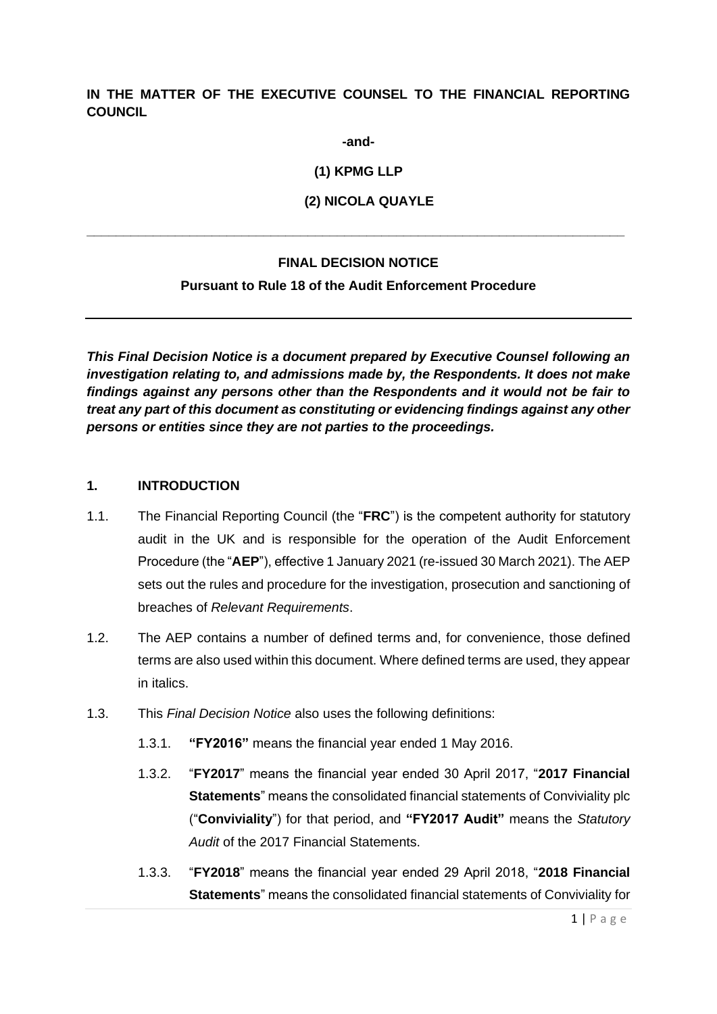## **IN THE MATTER OF THE EXECUTIVE COUNSEL TO THE FINANCIAL REPORTING COUNCIL**

**-and-**

**(1) KPMG LLP**

**(2) NICOLA QUAYLE**

#### **FINAL DECISION NOTICE**

**\_\_\_\_\_\_\_\_\_\_\_\_\_\_\_\_\_\_\_\_\_\_\_\_\_\_\_\_\_\_\_\_\_\_\_\_\_\_\_\_\_\_\_\_\_\_\_\_\_\_\_\_\_\_\_\_\_\_\_\_\_\_\_\_\_\_\_\_\_\_\_\_\_**

#### **Pursuant to Rule 18 of the Audit Enforcement Procedure**

*This Final Decision Notice is a document prepared by Executive Counsel following an investigation relating to, and admissions made by, the Respondents. It does not make findings against any persons other than the Respondents and it would not be fair to treat any part of this document as constituting or evidencing findings against any other persons or entities since they are not parties to the proceedings.*

#### **1. INTRODUCTION**

- 1.1. The Financial Reporting Council (the "**FRC**") is the competent authority for statutory audit in the UK and is responsible for the operation of the Audit Enforcement Procedure (the "**AEP**"), effective 1 January 2021 (re-issued 30 March 2021). The AEP sets out the rules and procedure for the investigation, prosecution and sanctioning of breaches of *Relevant Requirements*.
- 1.2. The AEP contains a number of defined terms and, for convenience, those defined terms are also used within this document. Where defined terms are used, they appear in italics.
- 1.3. This *Final Decision Notice* also uses the following definitions:
	- 1.3.1. **"FY2016"** means the financial year ended 1 May 2016.
	- 1.3.2. "**FY2017**" means the financial year ended 30 April 2017, "**2017 Financial Statements**" means the consolidated financial statements of Conviviality plc ("**Conviviality**") for that period, and **"FY2017 Audit"** means the *Statutory Audit* of the 2017 Financial Statements.
	- 1.3.3. "**FY2018**" means the financial year ended 29 April 2018, "**2018 Financial Statements**" means the consolidated financial statements of Conviviality for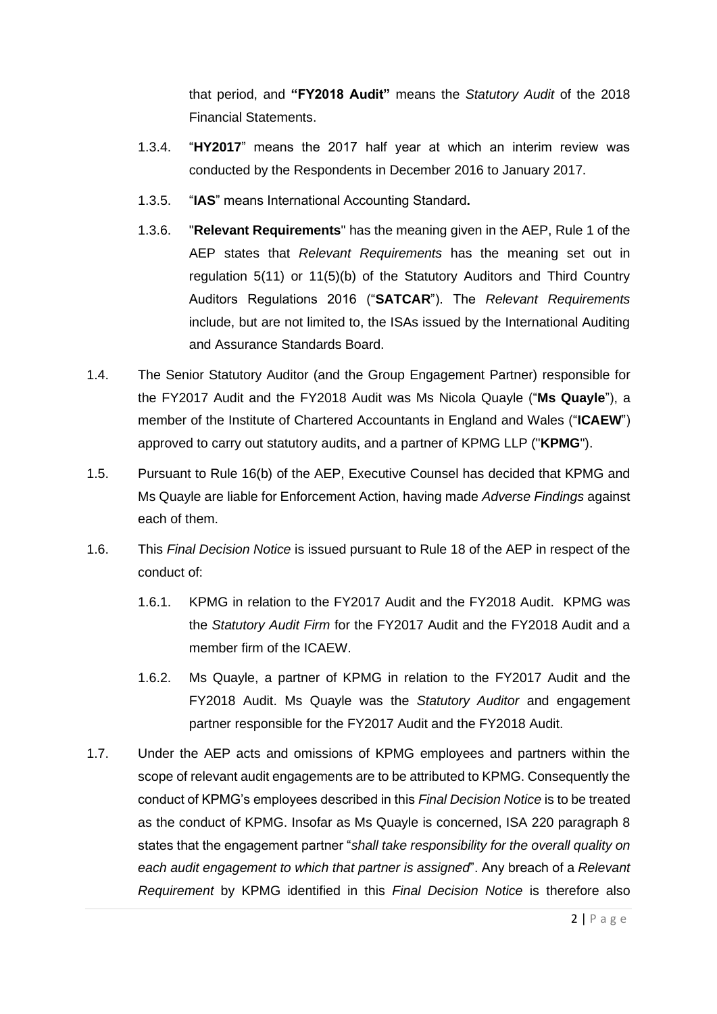that period, and **"FY2018 Audit"** means the *Statutory Audit* of the 2018 Financial Statements.

- 1.3.4. "**HY2017**" means the 2017 half year at which an interim review was conducted by the Respondents in December 2016 to January 2017.
- 1.3.5. "**IAS**" means International Accounting Standard**.**
- 1.3.6. "**Relevant Requirements**" has the meaning given in the AEP, Rule 1 of the AEP states that *Relevant Requirements* has the meaning set out in regulation 5(11) or 11(5)(b) of the Statutory Auditors and Third Country Auditors Regulations 2016 ("**SATCAR**"). The *Relevant Requirements* include, but are not limited to, the ISAs issued by the International Auditing and Assurance Standards Board.
- 1.4. The Senior Statutory Auditor (and the Group Engagement Partner) responsible for the FY2017 Audit and the FY2018 Audit was Ms Nicola Quayle ("**Ms Quayle**"), a member of the Institute of Chartered Accountants in England and Wales ("**ICAEW**") approved to carry out statutory audits, and a partner of KPMG LLP ("**KPMG**").
- 1.5. Pursuant to Rule 16(b) of the AEP, Executive Counsel has decided that KPMG and Ms Quayle are liable for Enforcement Action, having made *Adverse Findings* against each of them.
- 1.6. This *Final Decision Notice* is issued pursuant to Rule 18 of the AEP in respect of the conduct of:
	- 1.6.1. KPMG in relation to the FY2017 Audit and the FY2018 Audit. KPMG was the *Statutory Audit Firm* for the FY2017 Audit and the FY2018 Audit and a member firm of the ICAEW.
	- 1.6.2. Ms Quayle, a partner of KPMG in relation to the FY2017 Audit and the FY2018 Audit. Ms Quayle was the *Statutory Auditor* and engagement partner responsible for the FY2017 Audit and the FY2018 Audit.
- 1.7. Under the AEP acts and omissions of KPMG employees and partners within the scope of relevant audit engagements are to be attributed to KPMG. Consequently the conduct of KPMG's employees described in this *Final Decision Notice* is to be treated as the conduct of KPMG. Insofar as Ms Quayle is concerned, ISA 220 paragraph 8 states that the engagement partner "*shall take responsibility for the overall quality on each audit engagement to which that partner is assigned*". Any breach of a *Relevant Requirement* by KPMG identified in this *Final Decision Notice* is therefore also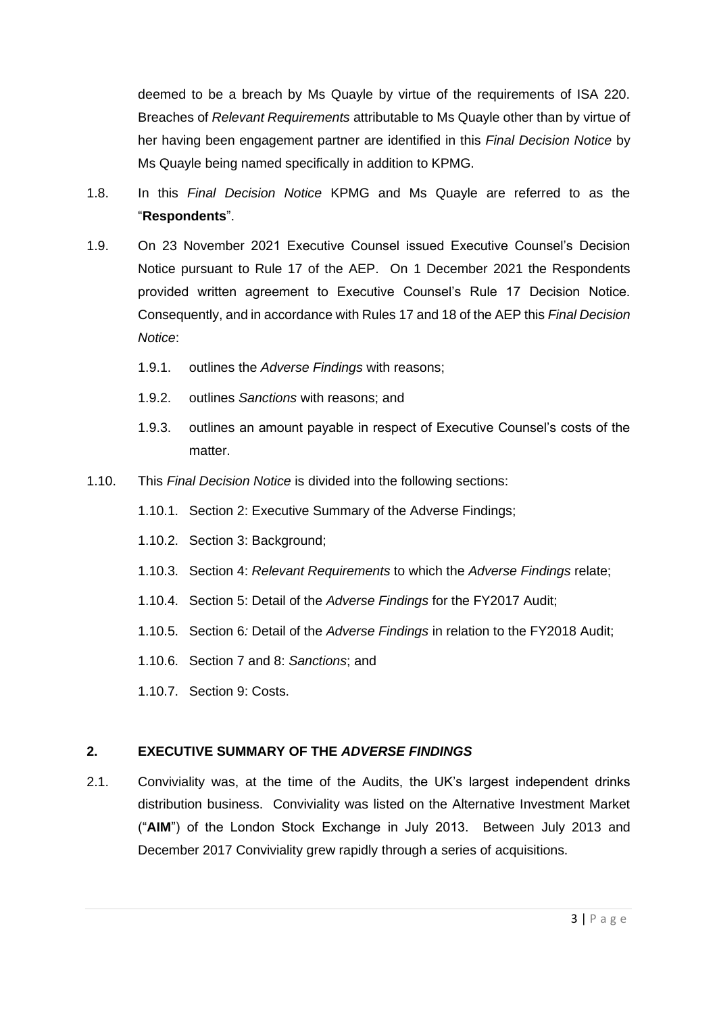deemed to be a breach by Ms Quayle by virtue of the requirements of ISA 220. Breaches of *Relevant Requirements* attributable to Ms Quayle other than by virtue of her having been engagement partner are identified in this *Final Decision Notice* by Ms Quayle being named specifically in addition to KPMG.

- 1.8. In this *Final Decision Notice* KPMG and Ms Quayle are referred to as the "**Respondents**".
- 1.9. On 23 November 2021 Executive Counsel issued Executive Counsel's Decision Notice pursuant to Rule 17 of the AEP. On 1 December 2021 the Respondents provided written agreement to Executive Counsel's Rule 17 Decision Notice. Consequently, and in accordance with Rules 17 and 18 of the AEP this *Final Decision Notice*:
	- 1.9.1. outlines the *Adverse Findings* with reasons;
	- 1.9.2. outlines *Sanctions* with reasons; and
	- 1.9.3. outlines an amount payable in respect of Executive Counsel's costs of the matter
- 1.10. This *Final Decision Notice* is divided into the following sections:
	- 1.10.1. Section 2: Executive Summary of the Adverse Findings;
	- 1.10.2. Section 3: Background;
	- 1.10.3. Section 4: *Relevant Requirements* to which the *Adverse Findings* relate;
	- 1.10.4. Section 5: Detail of the *Adverse Findings* for the FY2017 Audit;
	- 1.10.5. Section 6*:* Detail of the *Adverse Findings* in relation to the FY2018 Audit;
	- 1.10.6. Section 7 and 8: *Sanctions*; and
	- 1.10.7. Section 9: Costs.

## **2. EXECUTIVE SUMMARY OF THE** *ADVERSE FINDINGS*

2.1. Conviviality was, at the time of the Audits, the UK's largest independent drinks distribution business. Conviviality was listed on the Alternative Investment Market ("**AIM**") of the London Stock Exchange in July 2013. Between July 2013 and December 2017 Conviviality grew rapidly through a series of acquisitions.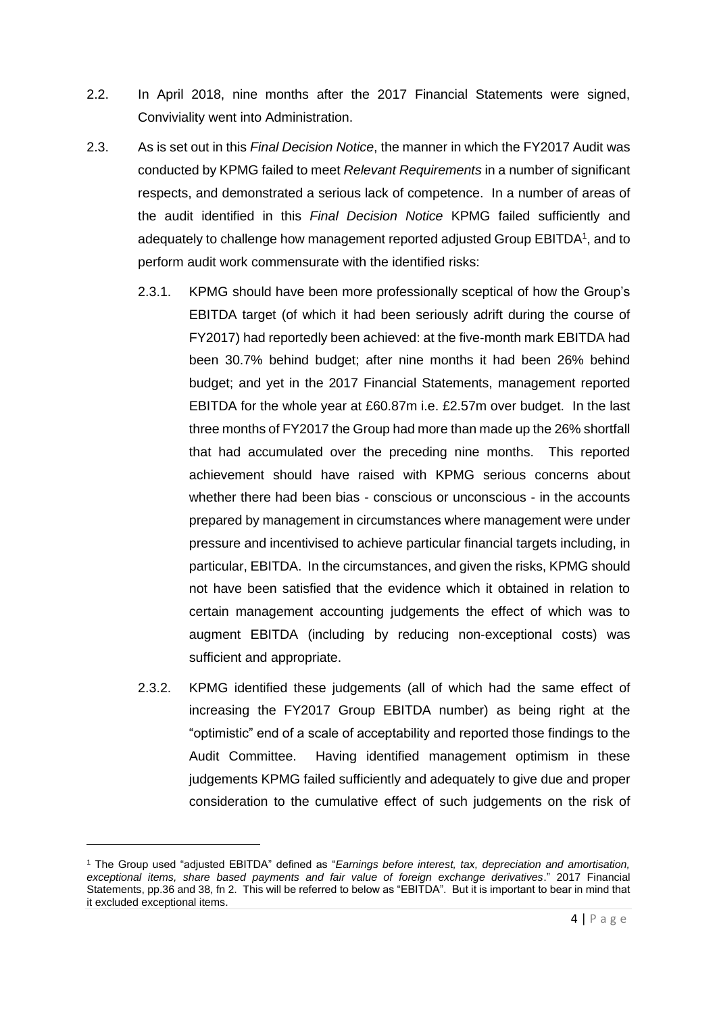- 2.2. In April 2018, nine months after the 2017 Financial Statements were signed, Conviviality went into Administration.
- 2.3. As is set out in this *Final Decision Notice*, the manner in which the FY2017 Audit was conducted by KPMG failed to meet *Relevant Requirements* in a number of significant respects, and demonstrated a serious lack of competence. In a number of areas of the audit identified in this *Final Decision Notice* KPMG failed sufficiently and adequately to challenge how management reported adjusted Group EBITDA<sup>1</sup>, and to perform audit work commensurate with the identified risks:
	- 2.3.1. KPMG should have been more professionally sceptical of how the Group's EBITDA target (of which it had been seriously adrift during the course of FY2017) had reportedly been achieved: at the five-month mark EBITDA had been 30.7% behind budget; after nine months it had been 26% behind budget; and yet in the 2017 Financial Statements, management reported EBITDA for the whole year at £60.87m i.e. £2.57m over budget. In the last three months of FY2017 the Group had more than made up the 26% shortfall that had accumulated over the preceding nine months. This reported achievement should have raised with KPMG serious concerns about whether there had been bias - conscious or unconscious - in the accounts prepared by management in circumstances where management were under pressure and incentivised to achieve particular financial targets including, in particular, EBITDA. In the circumstances, and given the risks, KPMG should not have been satisfied that the evidence which it obtained in relation to certain management accounting judgements the effect of which was to augment EBITDA (including by reducing non-exceptional costs) was sufficient and appropriate.
	- 2.3.2. KPMG identified these judgements (all of which had the same effect of increasing the FY2017 Group EBITDA number) as being right at the "optimistic" end of a scale of acceptability and reported those findings to the Audit Committee. Having identified management optimism in these judgements KPMG failed sufficiently and adequately to give due and proper consideration to the cumulative effect of such judgements on the risk of

<sup>1</sup> The Group used "adjusted EBITDA" defined as "*Earnings before interest, tax, depreciation and amortisation, exceptional items, share based payments and fair value of foreign exchange derivatives*." 2017 Financial Statements, pp.36 and 38, fn 2. This will be referred to below as "EBITDA". But it is important to bear in mind that it excluded exceptional items.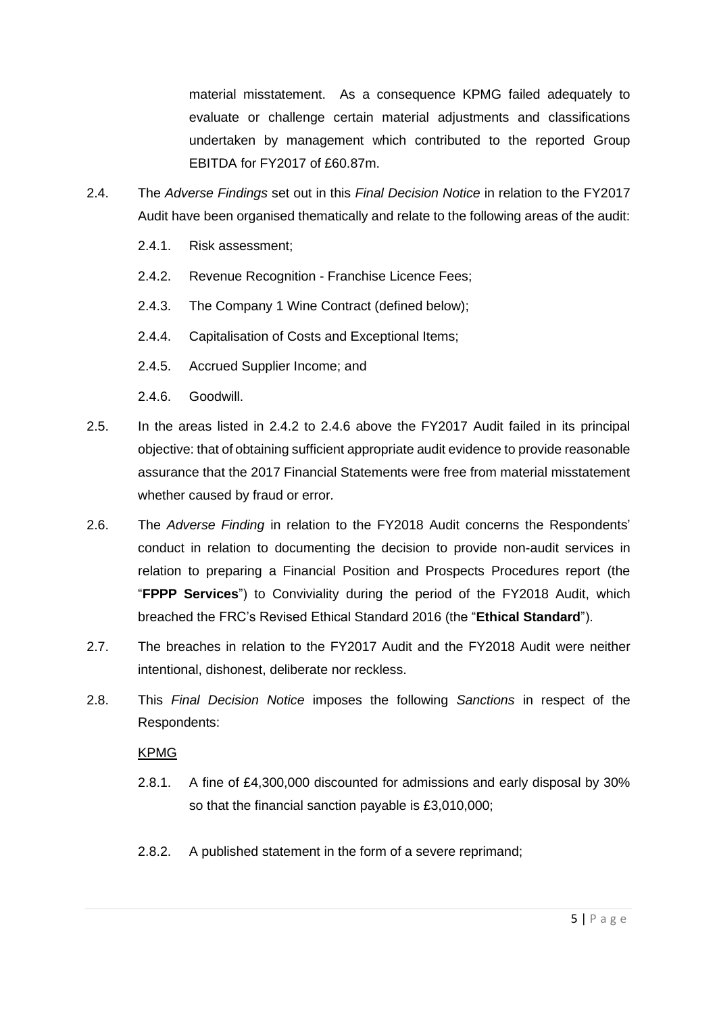material misstatement. As a consequence KPMG failed adequately to evaluate or challenge certain material adjustments and classifications undertaken by management which contributed to the reported Group EBITDA for FY2017 of £60.87m.

- 2.4. The *Adverse Findings* set out in this *Final Decision Notice* in relation to the FY2017 Audit have been organised thematically and relate to the following areas of the audit:
	- 2.4.1. Risk assessment;
	- 2.4.2. Revenue Recognition Franchise Licence Fees;
	- 2.4.3. The Company 1 Wine Contract (defined below);
	- 2.4.4. Capitalisation of Costs and Exceptional Items;
	- 2.4.5. Accrued Supplier Income; and
	- 2.4.6. Goodwill.
- 2.5. In the areas listed in 2.4.2 to 2.4.6 above the FY2017 Audit failed in its principal objective: that of obtaining sufficient appropriate audit evidence to provide reasonable assurance that the 2017 Financial Statements were free from material misstatement whether caused by fraud or error.
- 2.6. The *Adverse Finding* in relation to the FY2018 Audit concerns the Respondents' conduct in relation to documenting the decision to provide non-audit services in relation to preparing a Financial Position and Prospects Procedures report (the "**FPPP Services**") to Conviviality during the period of the FY2018 Audit, which breached the FRC's Revised Ethical Standard 2016 (the "**Ethical Standard**").
- 2.7. The breaches in relation to the FY2017 Audit and the FY2018 Audit were neither intentional, dishonest, deliberate nor reckless.
- 2.8. This *Final Decision Notice* imposes the following *Sanctions* in respect of the Respondents:

## KPMG

- 2.8.1. A fine of £4,300,000 discounted for admissions and early disposal by 30% so that the financial sanction payable is £3,010,000;
- 2.8.2. A published statement in the form of a severe reprimand;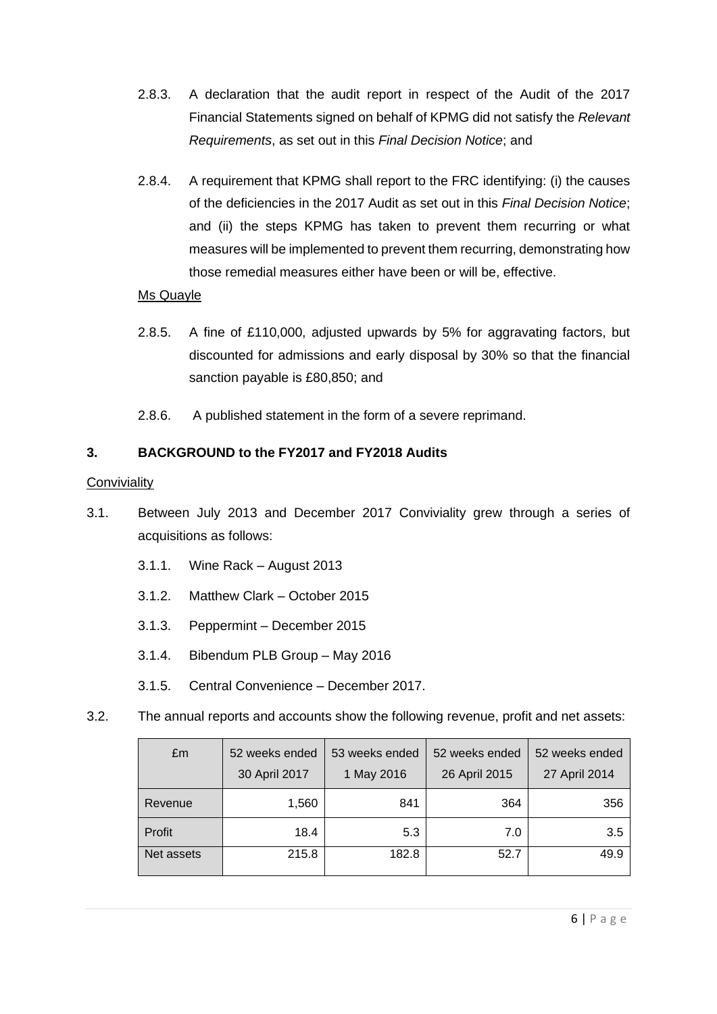- 2.8.3. A declaration that the audit report in respect of the Audit of the 2017 Financial Statements signed on behalf of KPMG did not satisfy the *Relevant Requirements*, as set out in this *Final Decision Notice*; and
- 2.8.4. A requirement that KPMG shall report to the FRC identifying: (i) the causes of the deficiencies in the 2017 Audit as set out in this *Final Decision Notice*; and (ii) the steps KPMG has taken to prevent them recurring or what measures will be implemented to prevent them recurring, demonstrating how those remedial measures either have been or will be, effective.

## Ms Quayle

- 2.8.5. A fine of £110,000, adjusted upwards by 5% for aggravating factors, but discounted for admissions and early disposal by 30% so that the financial sanction payable is £80,850; and
- 2.8.6. A published statement in the form of a severe reprimand.

# **3. BACKGROUND to the FY2017 and FY2018 Audits**

## **Conviviality**

- 3.1. Between July 2013 and December 2017 Conviviality grew through a series of acquisitions as follows:
	- 3.1.1. Wine Rack August 2013
	- 3.1.2. Matthew Clark October 2015
	- 3.1.3. Peppermint December 2015
	- 3.1.4. Bibendum PLB Group May 2016
	- 3.1.5. Central Convenience December 2017.
- 3.2. The annual reports and accounts show the following revenue, profit and net assets:

| £m         | 52 weeks ended<br>30 April 2017 | 53 weeks ended<br>1 May 2016 | 52 weeks ended<br>26 April 2015 | 52 weeks ended<br>27 April 2014 |
|------------|---------------------------------|------------------------------|---------------------------------|---------------------------------|
| Revenue    | 1,560                           | 841                          | 364                             | 356                             |
| Profit     | 18.4                            | 5.3                          | 7.0                             | 3.5                             |
| Net assets | 215.8                           | 182.8                        | 52.7                            | 49.9                            |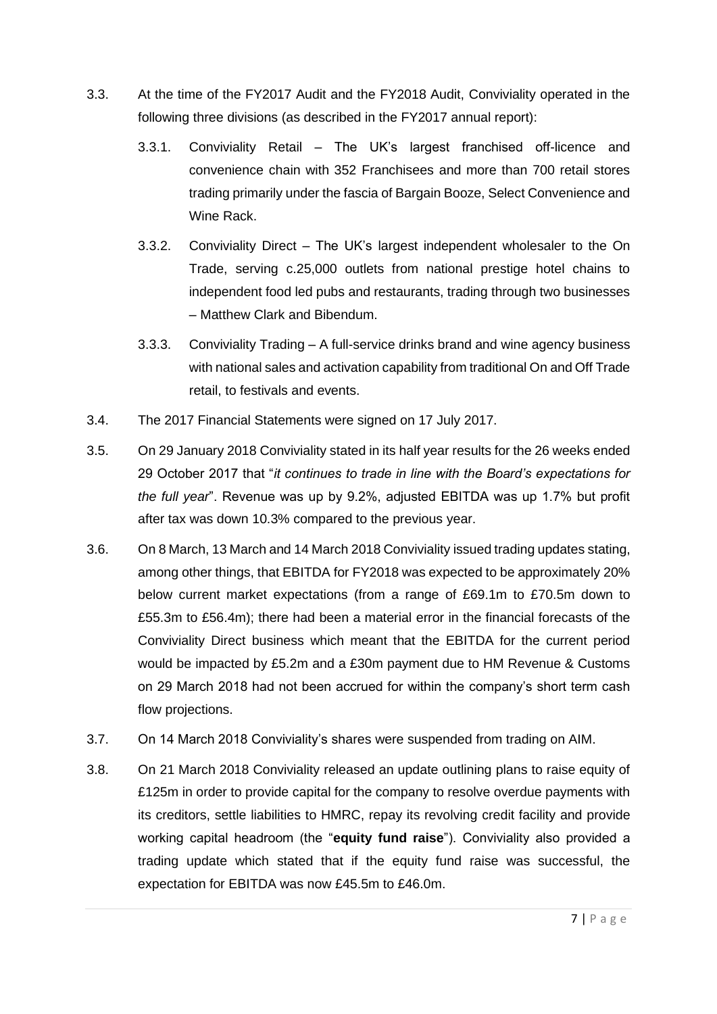- 3.3. At the time of the FY2017 Audit and the FY2018 Audit, Conviviality operated in the following three divisions (as described in the FY2017 annual report):
	- 3.3.1. Conviviality Retail The UK's largest franchised off-licence and convenience chain with 352 Franchisees and more than 700 retail stores trading primarily under the fascia of Bargain Booze, Select Convenience and Wine Rack.
	- 3.3.2. Conviviality Direct The UK's largest independent wholesaler to the On Trade, serving c.25,000 outlets from national prestige hotel chains to independent food led pubs and restaurants, trading through two businesses – Matthew Clark and Bibendum.
	- 3.3.3. Conviviality Trading A full-service drinks brand and wine agency business with national sales and activation capability from traditional On and Off Trade retail, to festivals and events.
- 3.4. The 2017 Financial Statements were signed on 17 July 2017.
- 3.5. On 29 January 2018 Conviviality stated in its half year results for the 26 weeks ended 29 October 2017 that "*it continues to trade in line with the Board's expectations for the full year*". Revenue was up by 9.2%, adjusted EBITDA was up 1.7% but profit after tax was down 10.3% compared to the previous year.
- 3.6. On 8 March, 13 March and 14 March 2018 Conviviality issued trading updates stating, among other things, that EBITDA for FY2018 was expected to be approximately 20% below current market expectations (from a range of £69.1m to £70.5m down to £55.3m to £56.4m); there had been a material error in the financial forecasts of the Conviviality Direct business which meant that the EBITDA for the current period would be impacted by £5.2m and a £30m payment due to HM Revenue & Customs on 29 March 2018 had not been accrued for within the company's short term cash flow projections.
- 3.7. On 14 March 2018 Conviviality's shares were suspended from trading on AIM.
- 3.8. On 21 March 2018 Conviviality released an update outlining plans to raise equity of £125m in order to provide capital for the company to resolve overdue payments with its creditors, settle liabilities to HMRC, repay its revolving credit facility and provide working capital headroom (the "**equity fund raise**"). Conviviality also provided a trading update which stated that if the equity fund raise was successful, the expectation for EBITDA was now £45.5m to £46.0m.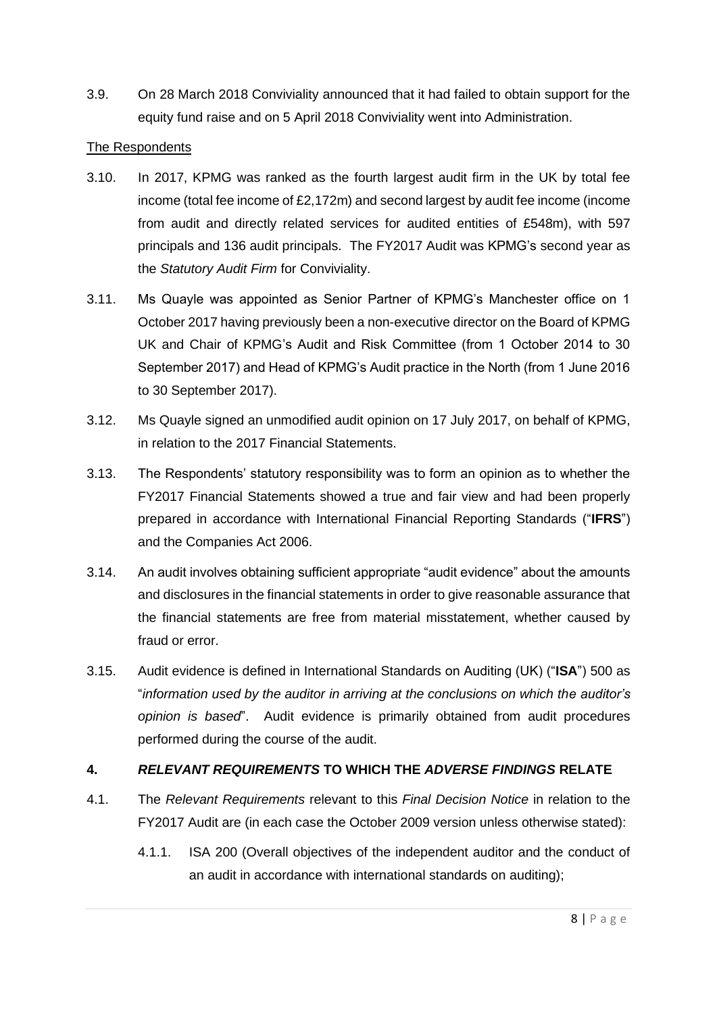3.9. On 28 March 2018 Conviviality announced that it had failed to obtain support for the equity fund raise and on 5 April 2018 Conviviality went into Administration.

## The Respondents

- 3.10. In 2017, KPMG was ranked as the fourth largest audit firm in the UK by total fee income (total fee income of £2,172m) and second largest by audit fee income (income from audit and directly related services for audited entities of £548m), with 597 principals and 136 audit principals. The FY2017 Audit was KPMG's second year as the *Statutory Audit Firm* for Conviviality.
- <span id="page-7-0"></span>3.11. Ms Quayle was appointed as Senior Partner of KPMG's Manchester office on 1 October 2017 having previously been a non-executive director on the Board of KPMG UK and Chair of KPMG's Audit and Risk Committee (from 1 October 2014 to 30 September 2017) and Head of KPMG's Audit practice in the North (from 1 June 2016 to 30 September 2017).
- 3.12. Ms Quayle signed an unmodified audit opinion on 17 July 2017, on behalf of KPMG, in relation to the 2017 Financial Statements.
- 3.13. The Respondents' statutory responsibility was to form an opinion as to whether the FY2017 Financial Statements showed a true and fair view and had been properly prepared in accordance with International Financial Reporting Standards ("**IFRS**") and the Companies Act 2006.
- 3.14. An audit involves obtaining sufficient appropriate "audit evidence" about the amounts and disclosures in the financial statements in order to give reasonable assurance that the financial statements are free from material misstatement, whether caused by fraud or error.
- 3.15. Audit evidence is defined in International Standards on Auditing (UK) ("**ISA**") 500 as "*information used by the auditor in arriving at the conclusions on which the auditor's opinion is based*". Audit evidence is primarily obtained from audit procedures performed during the course of the audit.

## **4.** *RELEVANT REQUIREMENTS* **TO WHICH THE** *ADVERSE FINDINGS* **RELATE**

- 4.1. The *Relevant Requirements* relevant to this *Final Decision Notice* in relation to the FY2017 Audit are (in each case the October 2009 version unless otherwise stated):
	- 4.1.1. ISA 200 (Overall objectives of the independent auditor and the conduct of an audit in accordance with international standards on auditing);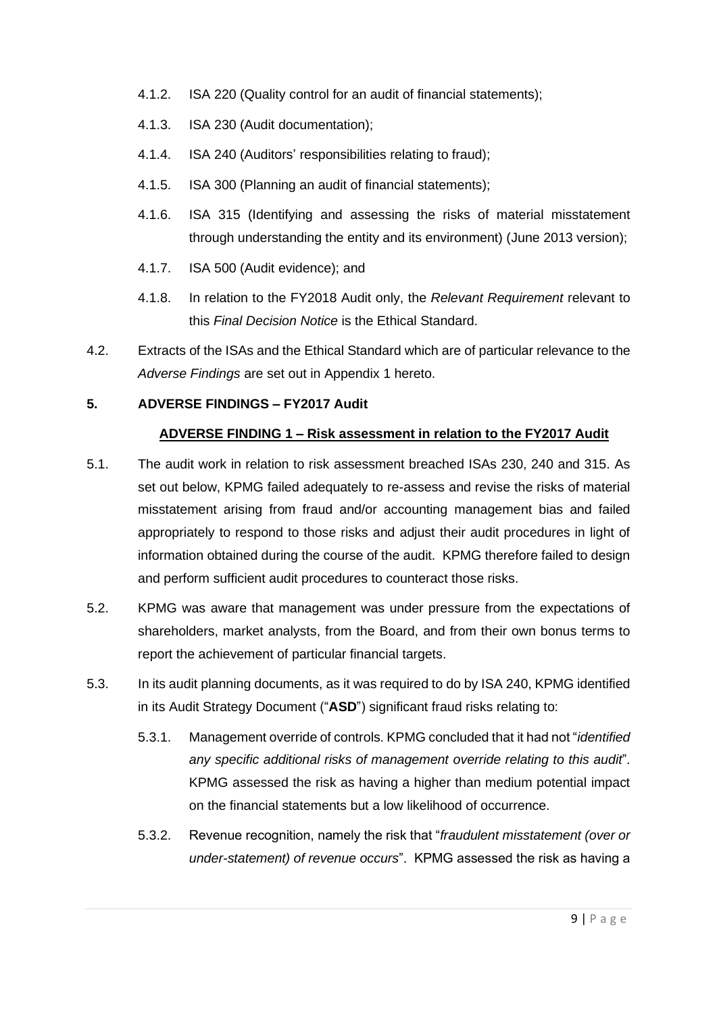- 4.1.2. ISA 220 (Quality control for an audit of financial statements);
- 4.1.3. ISA 230 (Audit documentation);
- 4.1.4. ISA 240 (Auditors' responsibilities relating to fraud);
- 4.1.5. ISA 300 (Planning an audit of financial statements);
- 4.1.6. ISA 315 (Identifying and assessing the risks of material misstatement through understanding the entity and its environment) (June 2013 version);
- 4.1.7. ISA 500 (Audit evidence); and
- 4.1.8. In relation to the FY2018 Audit only, the *Relevant Requirement* relevant to this *Final Decision Notice* is the Ethical Standard.
- 4.2. Extracts of the ISAs and the Ethical Standard which are of particular relevance to the *Adverse Findings* are set out in Appendix 1 hereto.

#### **5. ADVERSE FINDINGS – FY2017 Audit**

#### **ADVERSE FINDING 1 – Risk assessment in relation to the FY2017 Audit**

- 5.1. The audit work in relation to risk assessment breached ISAs 230, 240 and 315. As set out below, KPMG failed adequately to re-assess and revise the risks of material misstatement arising from fraud and/or accounting management bias and failed appropriately to respond to those risks and adjust their audit procedures in light of information obtained during the course of the audit. KPMG therefore failed to design and perform sufficient audit procedures to counteract those risks.
- 5.2. KPMG was aware that management was under pressure from the expectations of shareholders, market analysts, from the Board, and from their own bonus terms to report the achievement of particular financial targets.
- 5.3. In its audit planning documents, as it was required to do by ISA 240, KPMG identified in its Audit Strategy Document ("**ASD**") significant fraud risks relating to:
	- 5.3.1. Management override of controls. KPMG concluded that it had not "*identified any specific additional risks of management override relating to this audit*". KPMG assessed the risk as having a higher than medium potential impact on the financial statements but a low likelihood of occurrence.
	- 5.3.2. Revenue recognition, namely the risk that "*fraudulent misstatement (over or under-statement) of revenue occurs*". KPMG assessed the risk as having a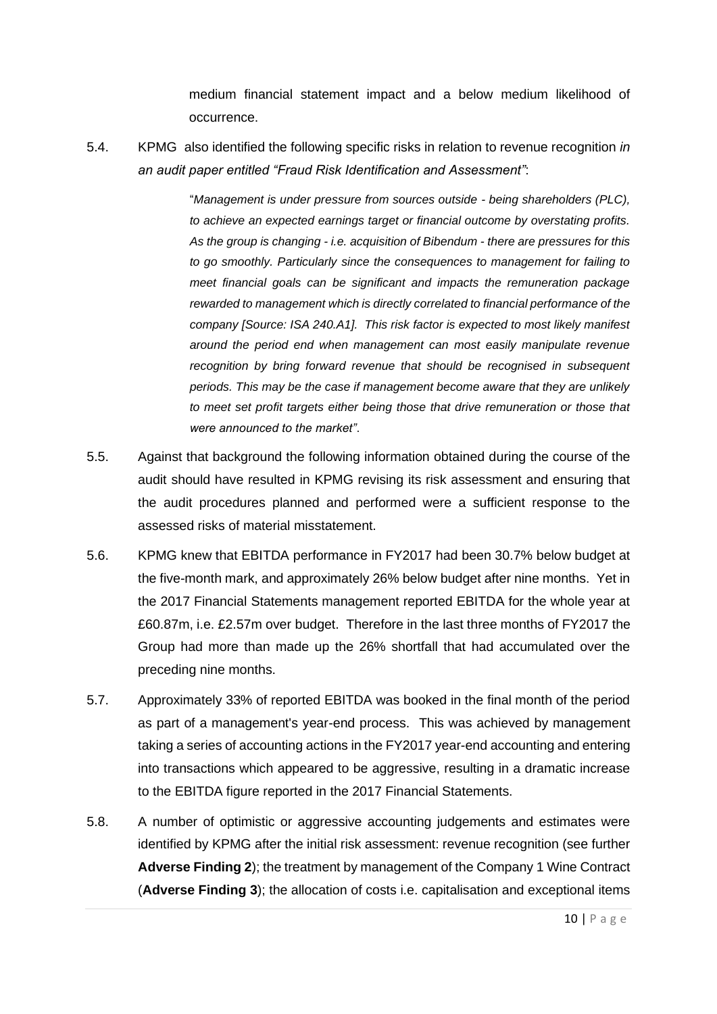medium financial statement impact and a below medium likelihood of occurrence.

<span id="page-9-0"></span>5.4. KPMG also identified the following specific risks in relation to revenue recognition *in an audit paper entitled "Fraud Risk Identification and Assessment"*:

> "*Management is under pressure from sources outside - being shareholders (PLC), to achieve an expected earnings target or financial outcome by overstating profits. As the group is changing - i.e. acquisition of Bibendum - there are pressures for this to go smoothly. Particularly since the consequences to management for failing to meet financial goals can be significant and impacts the remuneration package rewarded to management which is directly correlated to financial performance of the company [Source: ISA 240.A1]. This risk factor is expected to most likely manifest around the period end when management can most easily manipulate revenue recognition by bring forward revenue that should be recognised in subsequent periods. This may be the case if management become aware that they are unlikely to meet set profit targets either being those that drive remuneration or those that were announced to the market"*.

- 5.5. Against that background the following information obtained during the course of the audit should have resulted in KPMG revising its risk assessment and ensuring that the audit procedures planned and performed were a sufficient response to the assessed risks of material misstatement.
- 5.6. KPMG knew that EBITDA performance in FY2017 had been 30.7% below budget at the five-month mark, and approximately 26% below budget after nine months. Yet in the 2017 Financial Statements management reported EBITDA for the whole year at £60.87m, i.e. £2.57m over budget. Therefore in the last three months of FY2017 the Group had more than made up the 26% shortfall that had accumulated over the preceding nine months.
- 5.7. Approximately 33% of reported EBITDA was booked in the final month of the period as part of a management's year-end process. This was achieved by management taking a series of accounting actions in the FY2017 year-end accounting and entering into transactions which appeared to be aggressive, resulting in a dramatic increase to the EBITDA figure reported in the 2017 Financial Statements.
- 5.8. A number of optimistic or aggressive accounting judgements and estimates were identified by KPMG after the initial risk assessment: revenue recognition (see further **Adverse Finding 2**); the treatment by management of the Company 1 Wine Contract (**Adverse Finding 3**); the allocation of costs i.e. capitalisation and exceptional items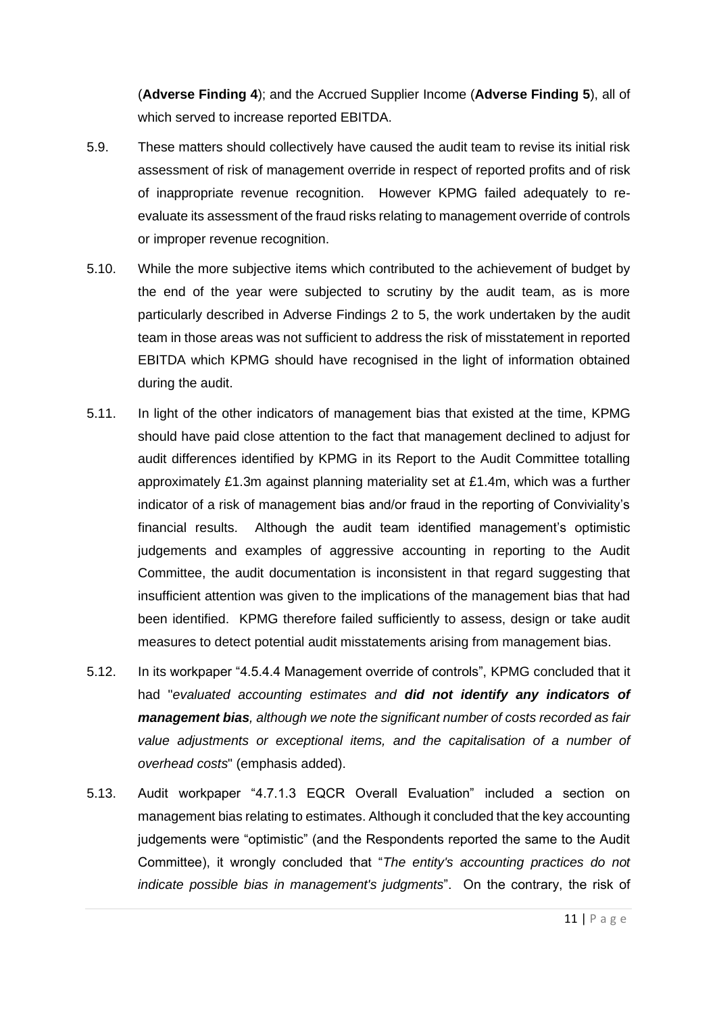(**Adverse Finding 4**); and the Accrued Supplier Income (**Adverse Finding 5**), all of which served to increase reported EBITDA.

- 5.9. These matters should collectively have caused the audit team to revise its initial risk assessment of risk of management override in respect of reported profits and of risk of inappropriate revenue recognition. However KPMG failed adequately to reevaluate its assessment of the fraud risks relating to management override of controls or improper revenue recognition.
- 5.10. While the more subjective items which contributed to the achievement of budget by the end of the year were subjected to scrutiny by the audit team, as is more particularly described in Adverse Findings 2 to 5, the work undertaken by the audit team in those areas was not sufficient to address the risk of misstatement in reported EBITDA which KPMG should have recognised in the light of information obtained during the audit.
- 5.11. In light of the other indicators of management bias that existed at the time, KPMG should have paid close attention to the fact that management declined to adjust for audit differences identified by KPMG in its Report to the Audit Committee totalling approximately £1.3m against planning materiality set at £1.4m, which was a further indicator of a risk of management bias and/or fraud in the reporting of Conviviality's financial results. Although the audit team identified management's optimistic judgements and examples of aggressive accounting in reporting to the Audit Committee, the audit documentation is inconsistent in that regard suggesting that insufficient attention was given to the implications of the management bias that had been identified. KPMG therefore failed sufficiently to assess, design or take audit measures to detect potential audit misstatements arising from management bias.
- 5.12. In its workpaper "4.5.4.4 Management override of controls", KPMG concluded that it had "*evaluated accounting estimates and did not identify any indicators of management bias, although we note the significant number of costs recorded as fair value adjustments or exceptional items, and the capitalisation of a number of overhead costs*" (emphasis added).
- 5.13. Audit workpaper "4.7.1.3 EQCR Overall Evaluation" included a section on management bias relating to estimates. Although it concluded that the key accounting judgements were "optimistic" (and the Respondents reported the same to the Audit Committee), it wrongly concluded that "*The entity's accounting practices do not indicate possible bias in management's judgments*". On the contrary, the risk of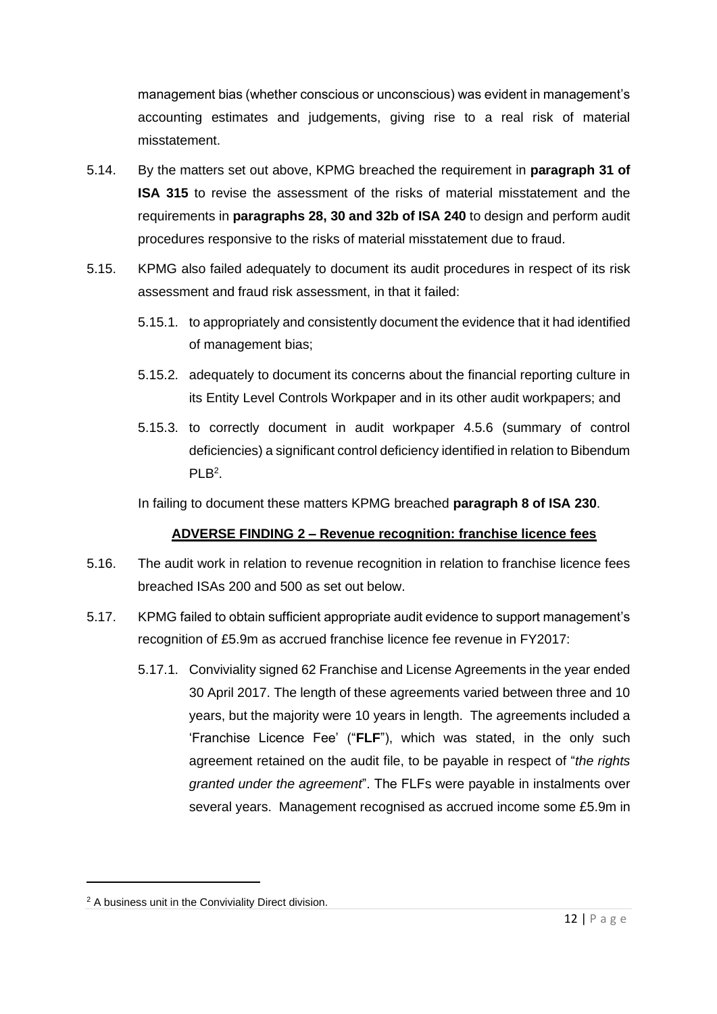management bias (whether conscious or unconscious) was evident in management's accounting estimates and judgements, giving rise to a real risk of material misstatement.

- 5.14. By the matters set out above, KPMG breached the requirement in **paragraph 31 of ISA 315** to revise the assessment of the risks of material misstatement and the requirements in **paragraphs 28, 30 and 32b of ISA 240** to design and perform audit procedures responsive to the risks of material misstatement due to fraud.
- 5.15. KPMG also failed adequately to document its audit procedures in respect of its risk assessment and fraud risk assessment, in that it failed:
	- 5.15.1. to appropriately and consistently document the evidence that it had identified of management bias;
	- 5.15.2. adequately to document its concerns about the financial reporting culture in its Entity Level Controls Workpaper and in its other audit workpapers; and
	- 5.15.3. to correctly document in audit workpaper 4.5.6 (summary of control deficiencies) a significant control deficiency identified in relation to Bibendum PLB<sup>2</sup>.

In failing to document these matters KPMG breached **paragraph 8 of ISA 230**.

# **ADVERSE FINDING 2 – Revenue recognition: franchise licence fees**

- 5.16. The audit work in relation to revenue recognition in relation to franchise licence fees breached ISAs 200 and 500 as set out below.
- 5.17. KPMG failed to obtain sufficient appropriate audit evidence to support management's recognition of £5.9m as accrued franchise licence fee revenue in FY2017:
	- 5.17.1. Conviviality signed 62 Franchise and License Agreements in the year ended 30 April 2017. The length of these agreements varied between three and 10 years, but the majority were 10 years in length. The agreements included a 'Franchise Licence Fee' ("**FLF**"), which was stated, in the only such agreement retained on the audit file, to be payable in respect of "*the rights granted under the agreement*". The FLFs were payable in instalments over several years. Management recognised as accrued income some £5.9m in

<sup>&</sup>lt;sup>2</sup> A business unit in the Conviviality Direct division.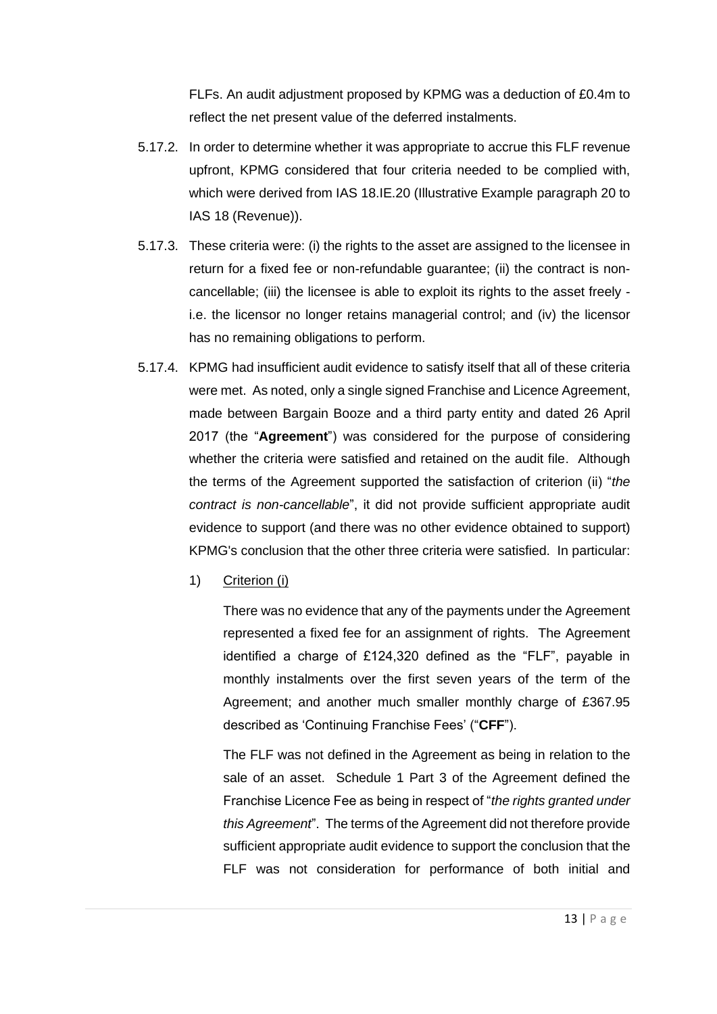FLFs. An audit adjustment proposed by KPMG was a deduction of £0.4m to reflect the net present value of the deferred instalments.

- 5.17.2. In order to determine whether it was appropriate to accrue this FLF revenue upfront, KPMG considered that four criteria needed to be complied with, which were derived from IAS 18.IE.20 (Illustrative Example paragraph 20 to IAS 18 (Revenue)).
- 5.17.3. These criteria were: (i) the rights to the asset are assigned to the licensee in return for a fixed fee or non-refundable guarantee; (ii) the contract is noncancellable; (iii) the licensee is able to exploit its rights to the asset freely i.e. the licensor no longer retains managerial control; and (iv) the licensor has no remaining obligations to perform.
- 5.17.4. KPMG had insufficient audit evidence to satisfy itself that all of these criteria were met. As noted, only a single signed Franchise and Licence Agreement, made between Bargain Booze and a third party entity and dated 26 April 2017 (the "**Agreement**") was considered for the purpose of considering whether the criteria were satisfied and retained on the audit file. Although the terms of the Agreement supported the satisfaction of criterion (ii) "*the contract is non-cancellable*", it did not provide sufficient appropriate audit evidence to support (and there was no other evidence obtained to support) KPMG's conclusion that the other three criteria were satisfied. In particular:
	- 1) Criterion (i)

There was no evidence that any of the payments under the Agreement represented a fixed fee for an assignment of rights. The Agreement identified a charge of £124,320 defined as the "FLF", payable in monthly instalments over the first seven years of the term of the Agreement; and another much smaller monthly charge of £367.95 described as 'Continuing Franchise Fees' ("**CFF**").

The FLF was not defined in the Agreement as being in relation to the sale of an asset. Schedule 1 Part 3 of the Agreement defined the Franchise Licence Fee as being in respect of "*the rights granted under this Agreement*". The terms of the Agreement did not therefore provide sufficient appropriate audit evidence to support the conclusion that the FLF was not consideration for performance of both initial and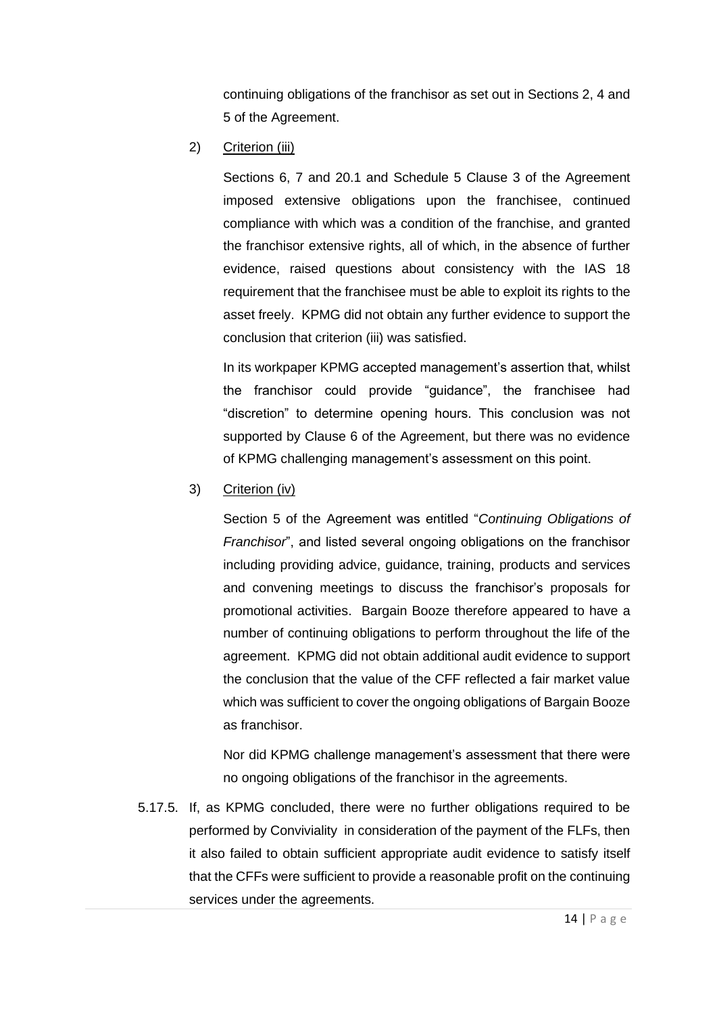continuing obligations of the franchisor as set out in Sections 2, 4 and 5 of the Agreement.

2) Criterion (iii)

Sections 6, 7 and 20.1 and Schedule 5 Clause 3 of the Agreement imposed extensive obligations upon the franchisee, continued compliance with which was a condition of the franchise, and granted the franchisor extensive rights, all of which, in the absence of further evidence, raised questions about consistency with the IAS 18 requirement that the franchisee must be able to exploit its rights to the asset freely. KPMG did not obtain any further evidence to support the conclusion that criterion (iii) was satisfied.

In its workpaper KPMG accepted management's assertion that, whilst the franchisor could provide "guidance", the franchisee had "discretion" to determine opening hours. This conclusion was not supported by Clause 6 of the Agreement, but there was no evidence of KPMG challenging management's assessment on this point.

3) Criterion (iv)

Section 5 of the Agreement was entitled "*Continuing Obligations of Franchisor*", and listed several ongoing obligations on the franchisor including providing advice, guidance, training, products and services and convening meetings to discuss the franchisor's proposals for promotional activities. Bargain Booze therefore appeared to have a number of continuing obligations to perform throughout the life of the agreement. KPMG did not obtain additional audit evidence to support the conclusion that the value of the CFF reflected a fair market value which was sufficient to cover the ongoing obligations of Bargain Booze as franchisor.

Nor did KPMG challenge management's assessment that there were no ongoing obligations of the franchisor in the agreements.

5.17.5. If, as KPMG concluded, there were no further obligations required to be performed by Conviviality in consideration of the payment of the FLFs, then it also failed to obtain sufficient appropriate audit evidence to satisfy itself that the CFFs were sufficient to provide a reasonable profit on the continuing services under the agreements.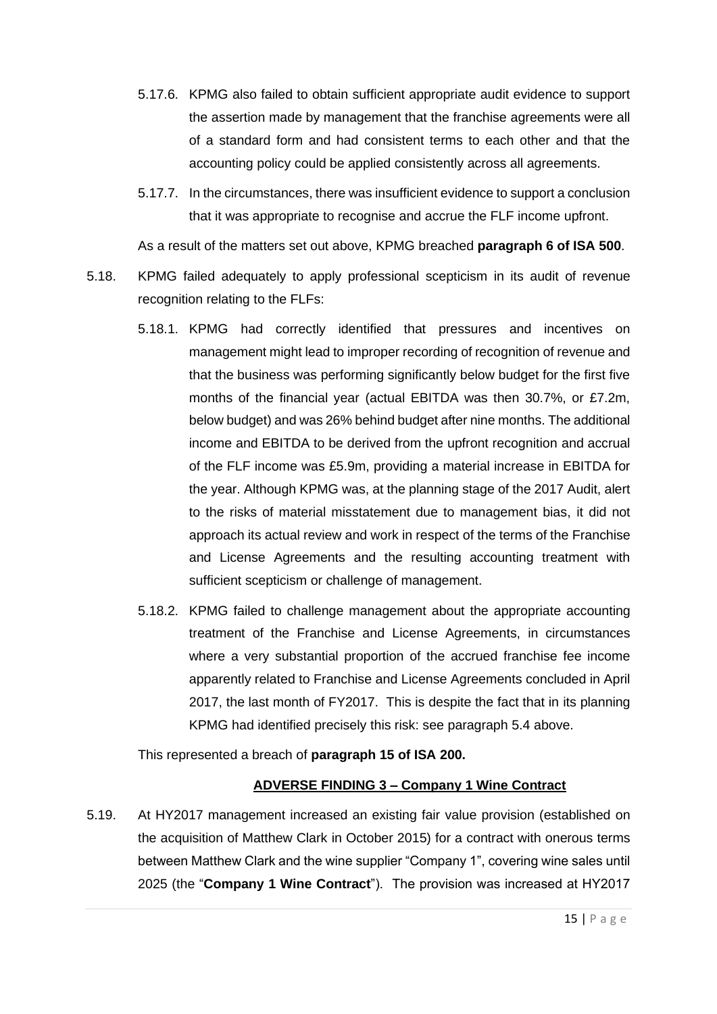- 5.17.6. KPMG also failed to obtain sufficient appropriate audit evidence to support the assertion made by management that the franchise agreements were all of a standard form and had consistent terms to each other and that the accounting policy could be applied consistently across all agreements.
- 5.17.7. In the circumstances, there was insufficient evidence to support a conclusion that it was appropriate to recognise and accrue the FLF income upfront.

As a result of the matters set out above, KPMG breached **paragraph 6 of ISA 500**.

- 5.18. KPMG failed adequately to apply professional scepticism in its audit of revenue recognition relating to the FLFs:
	- 5.18.1. KPMG had correctly identified that pressures and incentives on management might lead to improper recording of recognition of revenue and that the business was performing significantly below budget for the first five months of the financial year (actual EBITDA was then 30.7%, or £7.2m, below budget) and was 26% behind budget after nine months. The additional income and EBITDA to be derived from the upfront recognition and accrual of the FLF income was £5.9m, providing a material increase in EBITDA for the year. Although KPMG was, at the planning stage of the 2017 Audit, alert to the risks of material misstatement due to management bias, it did not approach its actual review and work in respect of the terms of the Franchise and License Agreements and the resulting accounting treatment with sufficient scepticism or challenge of management.
	- 5.18.2. KPMG failed to challenge management about the appropriate accounting treatment of the Franchise and License Agreements, in circumstances where a very substantial proportion of the accrued franchise fee income apparently related to Franchise and License Agreements concluded in April 2017, the last month of FY2017. This is despite the fact that in its planning KPMG had identified precisely this risk: see paragraph [5.4](#page-9-0) above.

This represented a breach of **paragraph 15 of ISA 200.**

## **ADVERSE FINDING 3 – Company 1 Wine Contract**

5.19. At HY2017 management increased an existing fair value provision (established on the acquisition of Matthew Clark in October 2015) for a contract with onerous terms between Matthew Clark and the wine supplier "Company 1", covering wine sales until 2025 (the "**Company 1 Wine Contract**"). The provision was increased at HY2017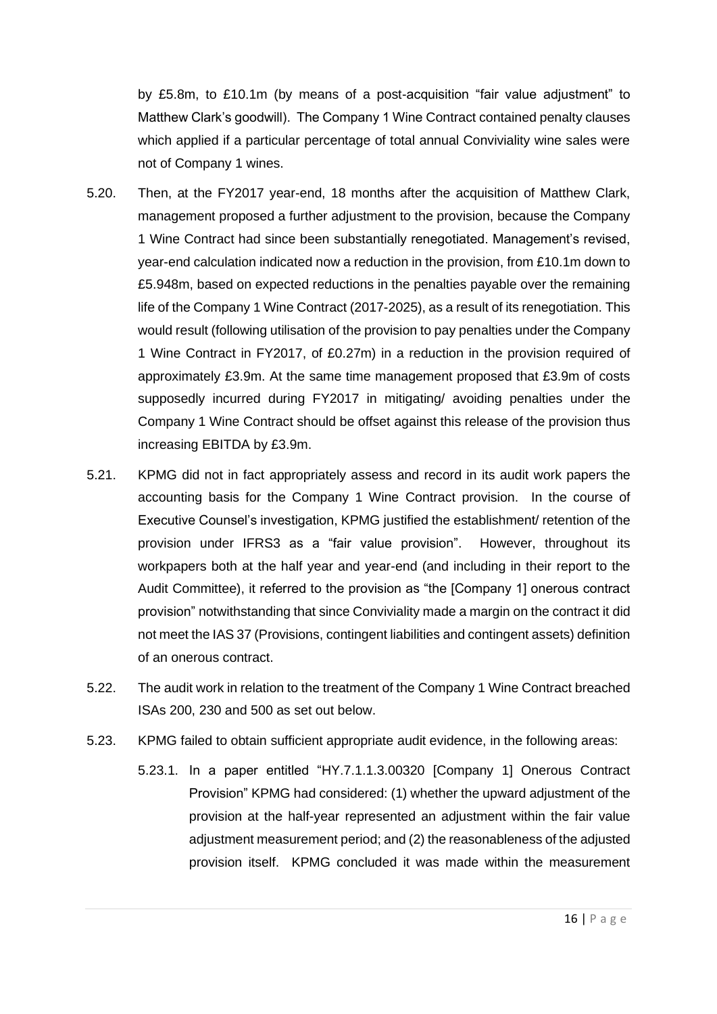by £5.8m, to £10.1m (by means of a post-acquisition "fair value adjustment" to Matthew Clark's goodwill). The Company 1 Wine Contract contained penalty clauses which applied if a particular percentage of total annual Conviviality wine sales were not of Company 1 wines.

- 5.20. Then, at the FY2017 year-end, 18 months after the acquisition of Matthew Clark, management proposed a further adjustment to the provision, because the Company 1 Wine Contract had since been substantially renegotiated. Management's revised, year-end calculation indicated now a reduction in the provision, from £10.1m down to £5.948m, based on expected reductions in the penalties payable over the remaining life of the Company 1 Wine Contract (2017-2025), as a result of its renegotiation. This would result (following utilisation of the provision to pay penalties under the Company 1 Wine Contract in FY2017, of £0.27m) in a reduction in the provision required of approximately £3.9m. At the same time management proposed that £3.9m of costs supposedly incurred during FY2017 in mitigating/ avoiding penalties under the Company 1 Wine Contract should be offset against this release of the provision thus increasing EBITDA by £3.9m.
- 5.21. KPMG did not in fact appropriately assess and record in its audit work papers the accounting basis for the Company 1 Wine Contract provision. In the course of Executive Counsel's investigation, KPMG justified the establishment/ retention of the provision under IFRS3 as a "fair value provision". However, throughout its workpapers both at the half year and year-end (and including in their report to the Audit Committee), it referred to the provision as "the [Company 1] onerous contract provision" notwithstanding that since Conviviality made a margin on the contract it did not meet the IAS 37 (Provisions, contingent liabilities and contingent assets) definition of an onerous contract.
- 5.22. The audit work in relation to the treatment of the Company 1 Wine Contract breached ISAs 200, 230 and 500 as set out below.
- 5.23. KPMG failed to obtain sufficient appropriate audit evidence, in the following areas:
	- 5.23.1. In a paper entitled "HY.7.1.1.3.00320 [Company 1] Onerous Contract Provision" KPMG had considered: (1) whether the upward adjustment of the provision at the half-year represented an adjustment within the fair value adjustment measurement period; and (2) the reasonableness of the adjusted provision itself. KPMG concluded it was made within the measurement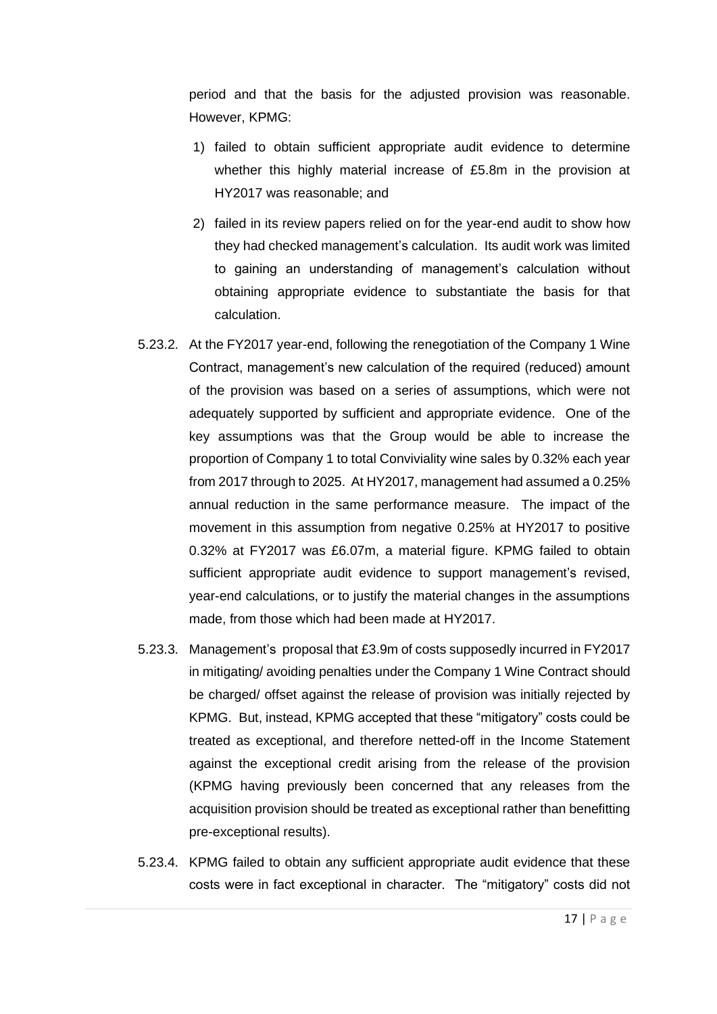period and that the basis for the adjusted provision was reasonable. However, KPMG:

- 1) failed to obtain sufficient appropriate audit evidence to determine whether this highly material increase of £5.8m in the provision at HY2017 was reasonable; and
- 2) failed in its review papers relied on for the year-end audit to show how they had checked management's calculation. Its audit work was limited to gaining an understanding of management's calculation without obtaining appropriate evidence to substantiate the basis for that calculation.
- 5.23.2. At the FY2017 year-end, following the renegotiation of the Company 1 Wine Contract, management's new calculation of the required (reduced) amount of the provision was based on a series of assumptions, which were not adequately supported by sufficient and appropriate evidence. One of the key assumptions was that the Group would be able to increase the proportion of Company 1 to total Conviviality wine sales by 0.32% each year from 2017 through to 2025. At HY2017, management had assumed a 0.25% annual reduction in the same performance measure. The impact of the movement in this assumption from negative 0.25% at HY2017 to positive 0.32% at FY2017 was £6.07m, a material figure. KPMG failed to obtain sufficient appropriate audit evidence to support management's revised, year-end calculations, or to justify the material changes in the assumptions made, from those which had been made at HY2017.
- 5.23.3. Management's proposal that £3.9m of costs supposedly incurred in FY2017 in mitigating/ avoiding penalties under the Company 1 Wine Contract should be charged/ offset against the release of provision was initially rejected by KPMG. But, instead, KPMG accepted that these "mitigatory" costs could be treated as exceptional, and therefore netted-off in the Income Statement against the exceptional credit arising from the release of the provision (KPMG having previously been concerned that any releases from the acquisition provision should be treated as exceptional rather than benefitting pre-exceptional results).
- 5.23.4. KPMG failed to obtain any sufficient appropriate audit evidence that these costs were in fact exceptional in character. The "mitigatory" costs did not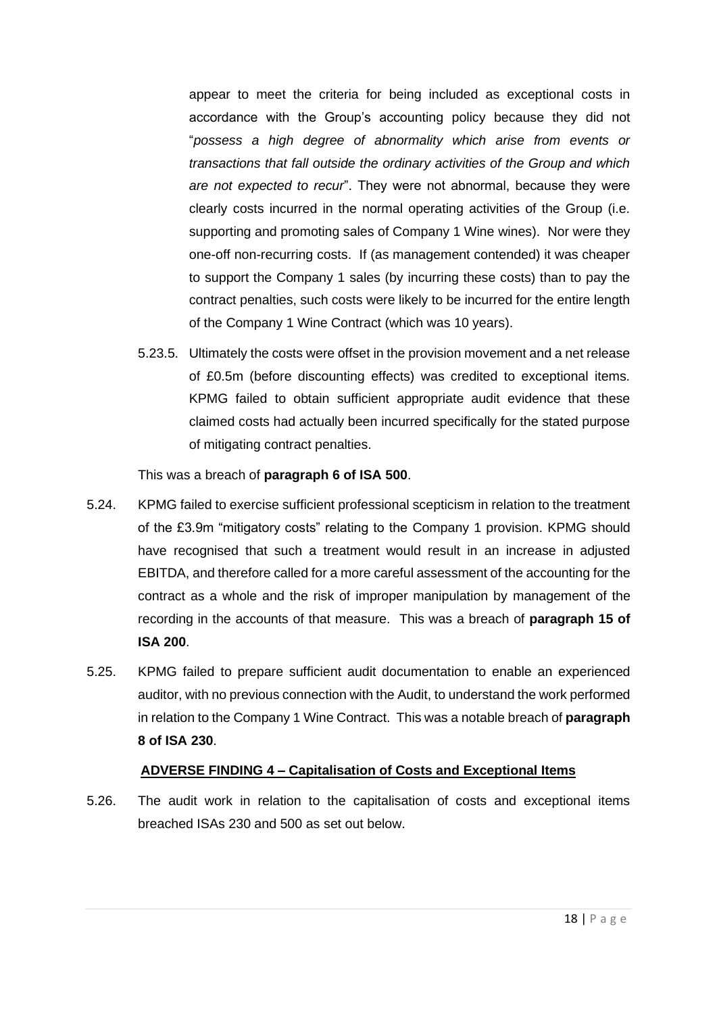appear to meet the criteria for being included as exceptional costs in accordance with the Group's accounting policy because they did not "*possess a high degree of abnormality which arise from events or transactions that fall outside the ordinary activities of the Group and which are not expected to recur*". They were not abnormal, because they were clearly costs incurred in the normal operating activities of the Group (i.e. supporting and promoting sales of Company 1 Wine wines). Nor were they one-off non-recurring costs. If (as management contended) it was cheaper to support the Company 1 sales (by incurring these costs) than to pay the contract penalties, such costs were likely to be incurred for the entire length of the Company 1 Wine Contract (which was 10 years).

5.23.5. Ultimately the costs were offset in the provision movement and a net release of £0.5m (before discounting effects) was credited to exceptional items. KPMG failed to obtain sufficient appropriate audit evidence that these claimed costs had actually been incurred specifically for the stated purpose of mitigating contract penalties.

This was a breach of **paragraph 6 of ISA 500**.

- 5.24. KPMG failed to exercise sufficient professional scepticism in relation to the treatment of the £3.9m "mitigatory costs" relating to the Company 1 provision. KPMG should have recognised that such a treatment would result in an increase in adjusted EBITDA, and therefore called for a more careful assessment of the accounting for the contract as a whole and the risk of improper manipulation by management of the recording in the accounts of that measure. This was a breach of **paragraph 15 of ISA 200**.
- 5.25. KPMG failed to prepare sufficient audit documentation to enable an experienced auditor, with no previous connection with the Audit, to understand the work performed in relation to the Company 1 Wine Contract. This was a notable breach of **paragraph 8 of ISA 230**.

## **ADVERSE FINDING 4 – Capitalisation of Costs and Exceptional Items**

5.26. The audit work in relation to the capitalisation of costs and exceptional items breached ISAs 230 and 500 as set out below.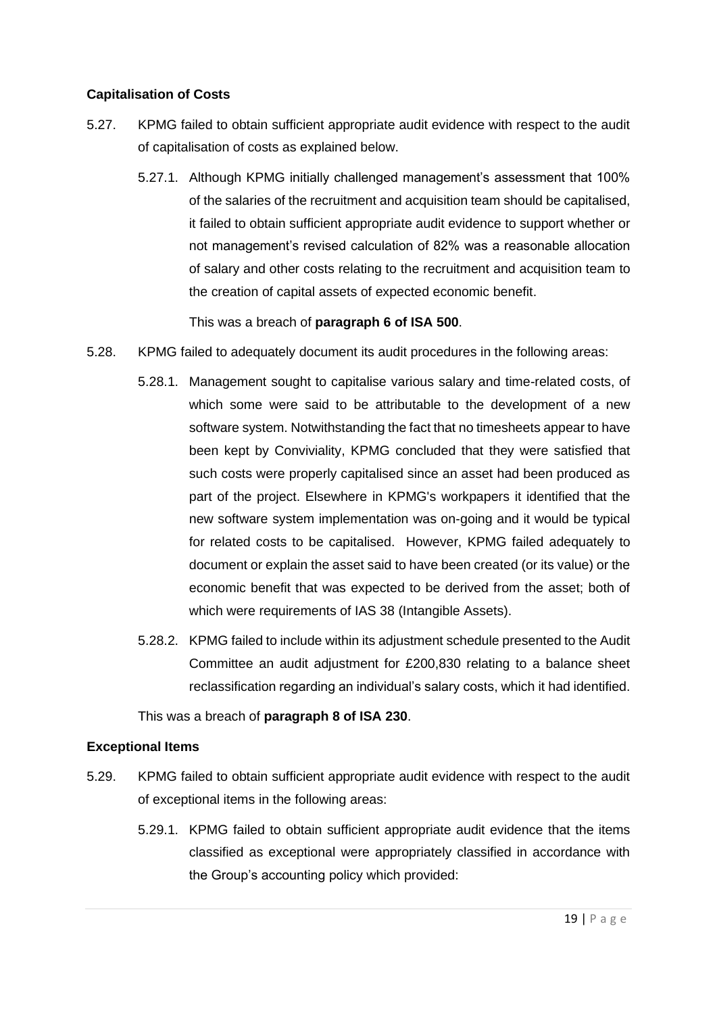#### **Capitalisation of Costs**

- 5.27. KPMG failed to obtain sufficient appropriate audit evidence with respect to the audit of capitalisation of costs as explained below.
	- 5.27.1. Although KPMG initially challenged management's assessment that 100% of the salaries of the recruitment and acquisition team should be capitalised, it failed to obtain sufficient appropriate audit evidence to support whether or not management's revised calculation of 82% was a reasonable allocation of salary and other costs relating to the recruitment and acquisition team to the creation of capital assets of expected economic benefit.

This was a breach of **paragraph 6 of ISA 500**.

- 5.28. KPMG failed to adequately document its audit procedures in the following areas:
	- 5.28.1. Management sought to capitalise various salary and time-related costs, of which some were said to be attributable to the development of a new software system. Notwithstanding the fact that no timesheets appear to have been kept by Conviviality, KPMG concluded that they were satisfied that such costs were properly capitalised since an asset had been produced as part of the project. Elsewhere in KPMG's workpapers it identified that the new software system implementation was on-going and it would be typical for related costs to be capitalised. However, KPMG failed adequately to document or explain the asset said to have been created (or its value) or the economic benefit that was expected to be derived from the asset; both of which were requirements of IAS 38 (Intangible Assets).
	- 5.28.2. KPMG failed to include within its adjustment schedule presented to the Audit Committee an audit adjustment for £200,830 relating to a balance sheet reclassification regarding an individual's salary costs, which it had identified.

This was a breach of **paragraph 8 of ISA 230**.

## **Exceptional Items**

- <span id="page-18-0"></span>5.29. KPMG failed to obtain sufficient appropriate audit evidence with respect to the audit of exceptional items in the following areas:
	- 5.29.1. KPMG failed to obtain sufficient appropriate audit evidence that the items classified as exceptional were appropriately classified in accordance with the Group's accounting policy which provided: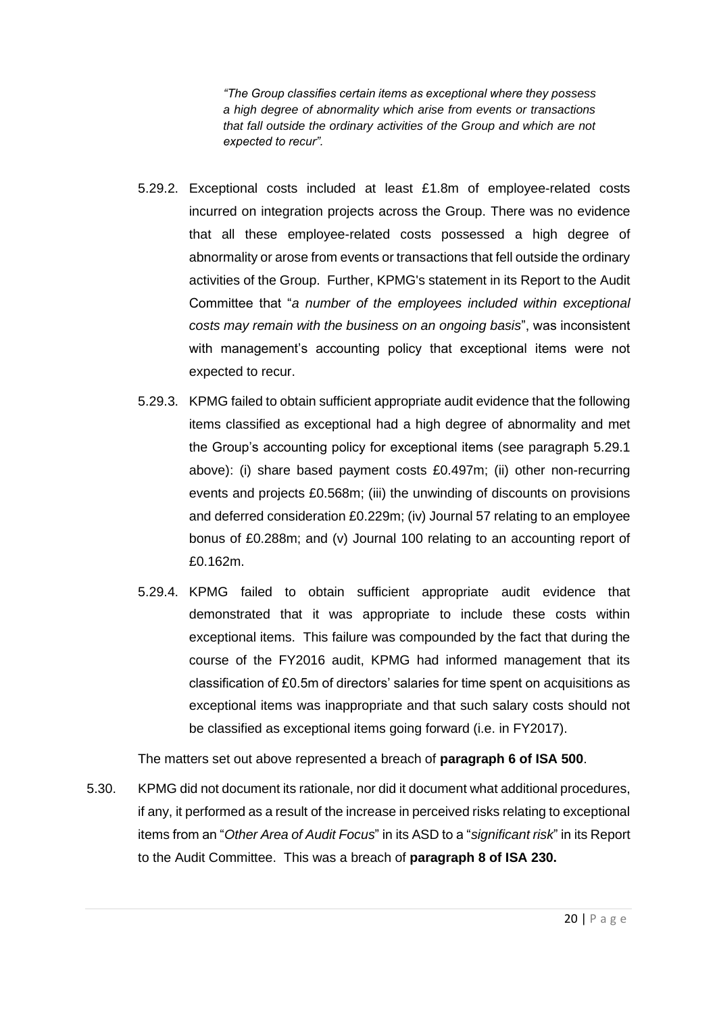*"The Group classifies certain items as exceptional where they possess a high degree of abnormality which arise from events or transactions that fall outside the ordinary activities of the Group and which are not expected to recur".*

- 5.29.2. Exceptional costs included at least £1.8m of employee-related costs incurred on integration projects across the Group. There was no evidence that all these employee-related costs possessed a high degree of abnormality or arose from events or transactions that fell outside the ordinary activities of the Group. Further, KPMG's statement in its Report to the Audit Committee that "*a number of the employees included within exceptional costs may remain with the business on an ongoing basis*", was inconsistent with management's accounting policy that exceptional items were not expected to recur.
- 5.29.3. KPMG failed to obtain sufficient appropriate audit evidence that the following items classified as exceptional had a high degree of abnormality and met the Group's accounting policy for exceptional items (see paragraph [5.29.1](#page-18-0) above): (i) share based payment costs £0.497m; (ii) other non-recurring events and projects £0.568m; (iii) the unwinding of discounts on provisions and deferred consideration £0.229m; (iv) Journal 57 relating to an employee bonus of £0.288m; and (v) Journal 100 relating to an accounting report of £0.162m.
- 5.29.4. KPMG failed to obtain sufficient appropriate audit evidence that demonstrated that it was appropriate to include these costs within exceptional items. This failure was compounded by the fact that during the course of the FY2016 audit, KPMG had informed management that its classification of £0.5m of directors' salaries for time spent on acquisitions as exceptional items was inappropriate and that such salary costs should not be classified as exceptional items going forward (i.e. in FY2017).

The matters set out above represented a breach of **paragraph 6 of ISA 500**.

5.30. KPMG did not document its rationale, nor did it document what additional procedures, if any, it performed as a result of the increase in perceived risks relating to exceptional items from an "*Other Area of Audit Focus*" in its ASD to a "*significant risk*" in its Report to the Audit Committee. This was a breach of **paragraph 8 of ISA 230.**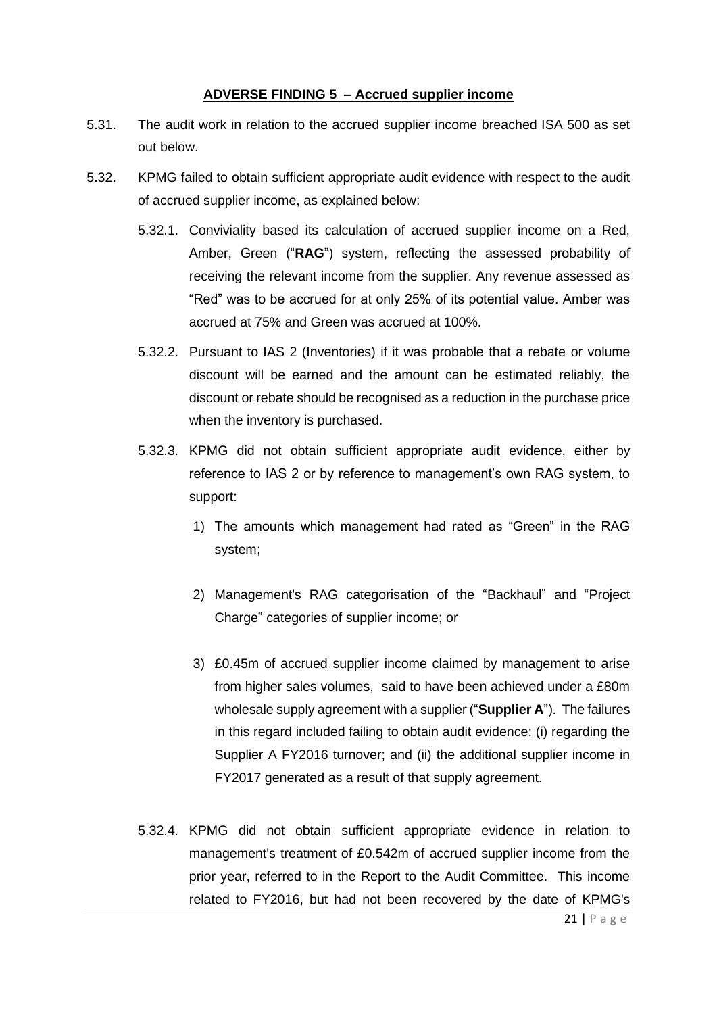#### **ADVERSE FINDING 5 – Accrued supplier income**

- 5.31. The audit work in relation to the accrued supplier income breached ISA 500 as set out below.
- <span id="page-20-0"></span>5.32. KPMG failed to obtain sufficient appropriate audit evidence with respect to the audit of accrued supplier income, as explained below:
	- 5.32.1. Conviviality based its calculation of accrued supplier income on a Red, Amber, Green ("**RAG**") system, reflecting the assessed probability of receiving the relevant income from the supplier. Any revenue assessed as "Red" was to be accrued for at only 25% of its potential value. Amber was accrued at 75% and Green was accrued at 100%.
	- 5.32.2. Pursuant to IAS 2 (Inventories) if it was probable that a rebate or volume discount will be earned and the amount can be estimated reliably, the discount or rebate should be recognised as a reduction in the purchase price when the inventory is purchased.
	- 5.32.3. KPMG did not obtain sufficient appropriate audit evidence, either by reference to IAS 2 or by reference to management's own RAG system, to support:
		- 1) The amounts which management had rated as "Green" in the RAG system;
		- 2) Management's RAG categorisation of the "Backhaul" and "Project Charge" categories of supplier income; or
		- 3) £0.45m of accrued supplier income claimed by management to arise from higher sales volumes, said to have been achieved under a £80m wholesale supply agreement with a supplier ("**Supplier A**"). The failures in this regard included failing to obtain audit evidence: (i) regarding the Supplier A FY2016 turnover; and (ii) the additional supplier income in FY2017 generated as a result of that supply agreement.
	- 5.32.4. KPMG did not obtain sufficient appropriate evidence in relation to management's treatment of £0.542m of accrued supplier income from the prior year, referred to in the Report to the Audit Committee. This income related to FY2016, but had not been recovered by the date of KPMG's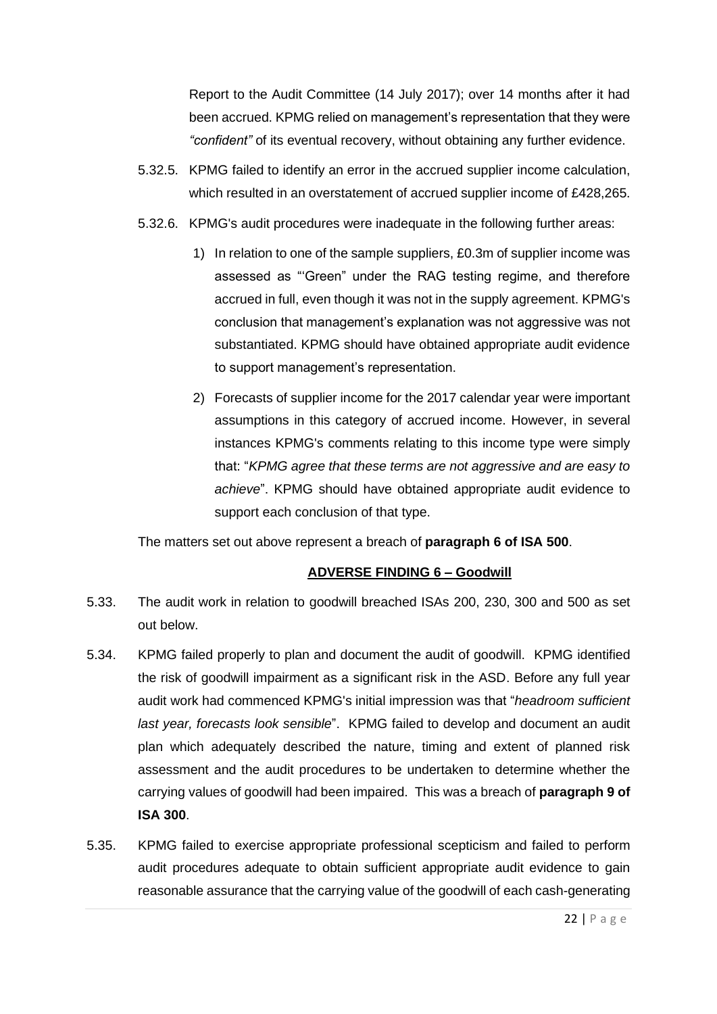Report to the Audit Committee (14 July 2017); over 14 months after it had been accrued. KPMG relied on management's representation that they were *"confident"* of its eventual recovery, without obtaining any further evidence.

- 5.32.5. KPMG failed to identify an error in the accrued supplier income calculation, which resulted in an overstatement of accrued supplier income of £428,265.
- 5.32.6. KPMG's audit procedures were inadequate in the following further areas:
	- 1) In relation to one of the sample suppliers, £0.3m of supplier income was assessed as "'Green" under the RAG testing regime, and therefore accrued in full, even though it was not in the supply agreement. KPMG's conclusion that management's explanation was not aggressive was not substantiated. KPMG should have obtained appropriate audit evidence to support management's representation.
	- 2) Forecasts of supplier income for the 2017 calendar year were important assumptions in this category of accrued income. However, in several instances KPMG's comments relating to this income type were simply that: "*KPMG agree that these terms are not aggressive and are easy to achieve*". KPMG should have obtained appropriate audit evidence to support each conclusion of that type.

The matters set out above represent a breach of **paragraph 6 of ISA 500**.

#### **ADVERSE FINDING 6 – Goodwill**

- 5.33. The audit work in relation to goodwill breached ISAs 200, 230, 300 and 500 as set out below.
- 5.34. KPMG failed properly to plan and document the audit of goodwill. KPMG identified the risk of goodwill impairment as a significant risk in the ASD. Before any full year audit work had commenced KPMG's initial impression was that "*headroom sufficient last year, forecasts look sensible*". KPMG failed to develop and document an audit plan which adequately described the nature, timing and extent of planned risk assessment and the audit procedures to be undertaken to determine whether the carrying values of goodwill had been impaired. This was a breach of **paragraph 9 of ISA 300**.
- 5.35. KPMG failed to exercise appropriate professional scepticism and failed to perform audit procedures adequate to obtain sufficient appropriate audit evidence to gain reasonable assurance that the carrying value of the goodwill of each cash-generating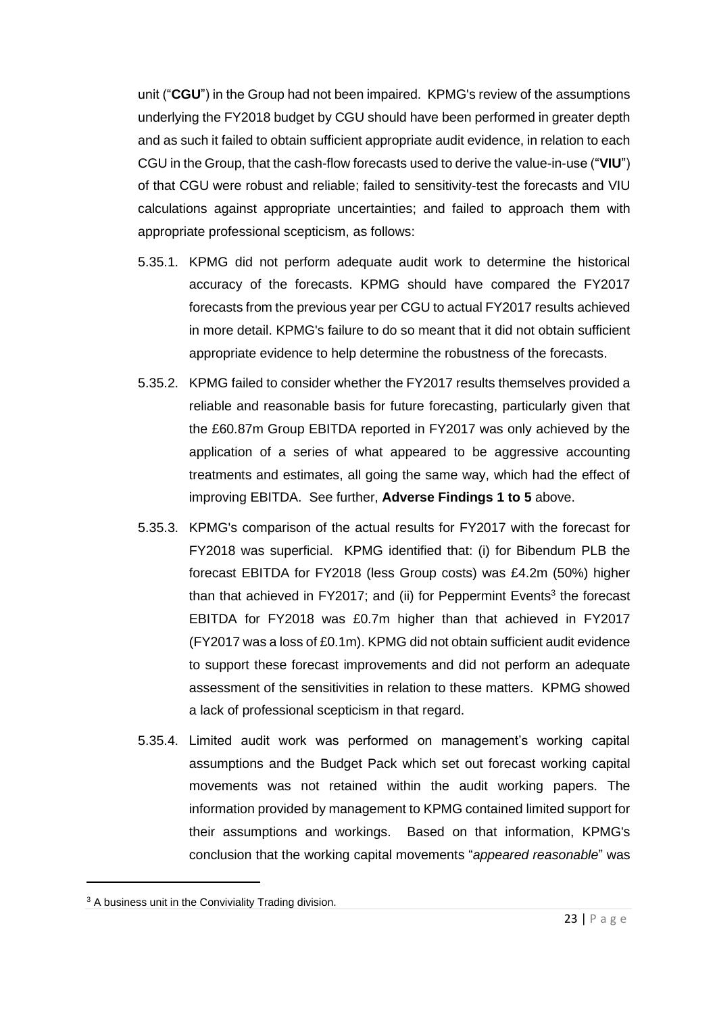unit ("**CGU**") in the Group had not been impaired. KPMG's review of the assumptions underlying the FY2018 budget by CGU should have been performed in greater depth and as such it failed to obtain sufficient appropriate audit evidence, in relation to each CGU in the Group, that the cash-flow forecasts used to derive the value-in-use ("**VIU**") of that CGU were robust and reliable; failed to sensitivity-test the forecasts and VIU calculations against appropriate uncertainties; and failed to approach them with appropriate professional scepticism, as follows:

- 5.35.1. KPMG did not perform adequate audit work to determine the historical accuracy of the forecasts. KPMG should have compared the FY2017 forecasts from the previous year per CGU to actual FY2017 results achieved in more detail. KPMG's failure to do so meant that it did not obtain sufficient appropriate evidence to help determine the robustness of the forecasts.
- 5.35.2. KPMG failed to consider whether the FY2017 results themselves provided a reliable and reasonable basis for future forecasting, particularly given that the £60.87m Group EBITDA reported in FY2017 was only achieved by the application of a series of what appeared to be aggressive accounting treatments and estimates, all going the same way, which had the effect of improving EBITDA. See further, **Adverse Findings 1 to 5** above.
- 5.35.3. KPMG's comparison of the actual results for FY2017 with the forecast for FY2018 was superficial. KPMG identified that: (i) for Bibendum PLB the forecast EBITDA for FY2018 (less Group costs) was £4.2m (50%) higher than that achieved in FY2017; and (ii) for Peppermint Events<sup>3</sup> the forecast EBITDA for FY2018 was £0.7m higher than that achieved in FY2017 (FY2017 was a loss of £0.1m). KPMG did not obtain sufficient audit evidence to support these forecast improvements and did not perform an adequate assessment of the sensitivities in relation to these matters. KPMG showed a lack of professional scepticism in that regard.
- 5.35.4. Limited audit work was performed on management's working capital assumptions and the Budget Pack which set out forecast working capital movements was not retained within the audit working papers. The information provided by management to KPMG contained limited support for their assumptions and workings. Based on that information, KPMG's conclusion that the working capital movements "*appeared reasonable*" was

<sup>&</sup>lt;sup>3</sup> A business unit in the Conviviality Trading division.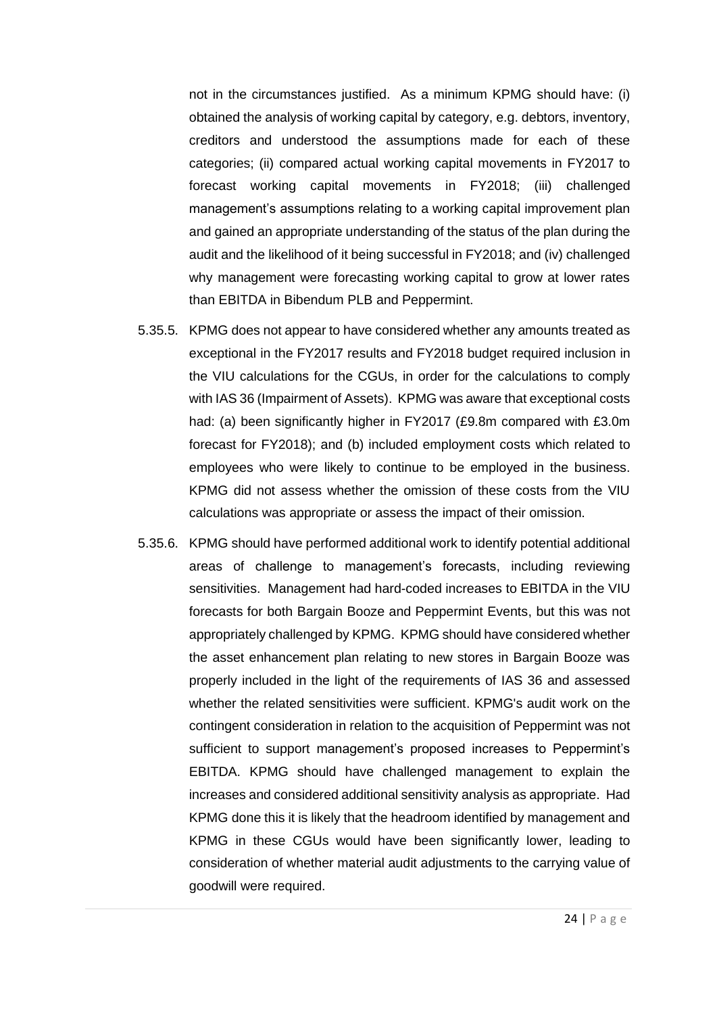not in the circumstances justified. As a minimum KPMG should have: (i) obtained the analysis of working capital by category, e.g. debtors, inventory, creditors and understood the assumptions made for each of these categories; (ii) compared actual working capital movements in FY2017 to forecast working capital movements in FY2018; (iii) challenged management's assumptions relating to a working capital improvement plan and gained an appropriate understanding of the status of the plan during the audit and the likelihood of it being successful in FY2018; and (iv) challenged why management were forecasting working capital to grow at lower rates than EBITDA in Bibendum PLB and Peppermint.

- 5.35.5. KPMG does not appear to have considered whether any amounts treated as exceptional in the FY2017 results and FY2018 budget required inclusion in the VIU calculations for the CGUs, in order for the calculations to comply with IAS 36 (Impairment of Assets). KPMG was aware that exceptional costs had: (a) been significantly higher in FY2017 (£9.8m compared with £3.0m forecast for FY2018); and (b) included employment costs which related to employees who were likely to continue to be employed in the business. KPMG did not assess whether the omission of these costs from the VIU calculations was appropriate or assess the impact of their omission.
- 5.35.6. KPMG should have performed additional work to identify potential additional areas of challenge to management's forecasts, including reviewing sensitivities. Management had hard-coded increases to EBITDA in the VIU forecasts for both Bargain Booze and Peppermint Events, but this was not appropriately challenged by KPMG. KPMG should have considered whether the asset enhancement plan relating to new stores in Bargain Booze was properly included in the light of the requirements of IAS 36 and assessed whether the related sensitivities were sufficient. KPMG's audit work on the contingent consideration in relation to the acquisition of Peppermint was not sufficient to support management's proposed increases to Peppermint's EBITDA. KPMG should have challenged management to explain the increases and considered additional sensitivity analysis as appropriate. Had KPMG done this it is likely that the headroom identified by management and KPMG in these CGUs would have been significantly lower, leading to consideration of whether material audit adjustments to the carrying value of goodwill were required.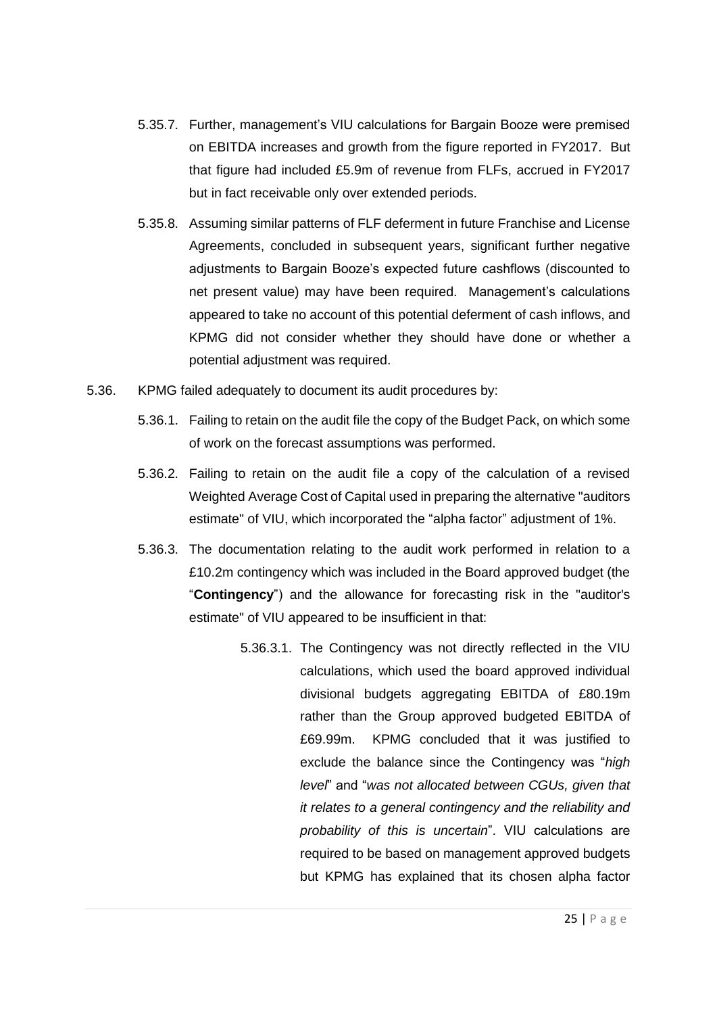- 5.35.7. Further, management's VIU calculations for Bargain Booze were premised on EBITDA increases and growth from the figure reported in FY2017. But that figure had included £5.9m of revenue from FLFs, accrued in FY2017 but in fact receivable only over extended periods.
- 5.35.8. Assuming similar patterns of FLF deferment in future Franchise and License Agreements, concluded in subsequent years, significant further negative adjustments to Bargain Booze's expected future cashflows (discounted to net present value) may have been required. Management's calculations appeared to take no account of this potential deferment of cash inflows, and KPMG did not consider whether they should have done or whether a potential adjustment was required.
- 5.36. KPMG failed adequately to document its audit procedures by:
	- 5.36.1. Failing to retain on the audit file the copy of the Budget Pack, on which some of work on the forecast assumptions was performed.
	- 5.36.2. Failing to retain on the audit file a copy of the calculation of a revised Weighted Average Cost of Capital used in preparing the alternative "auditors estimate" of VIU, which incorporated the "alpha factor" adjustment of 1%.
	- 5.36.3. The documentation relating to the audit work performed in relation to a £10.2m contingency which was included in the Board approved budget (the "**Contingency**") and the allowance for forecasting risk in the "auditor's estimate" of VIU appeared to be insufficient in that:
		- 5.36.3.1. The Contingency was not directly reflected in the VIU calculations, which used the board approved individual divisional budgets aggregating EBITDA of £80.19m rather than the Group approved budgeted EBITDA of £69.99m. KPMG concluded that it was justified to exclude the balance since the Contingency was "*high level*" and "*was not allocated between CGUs, given that it relates to a general contingency and the reliability and probability of this is uncertain*". VIU calculations are required to be based on management approved budgets but KPMG has explained that its chosen alpha factor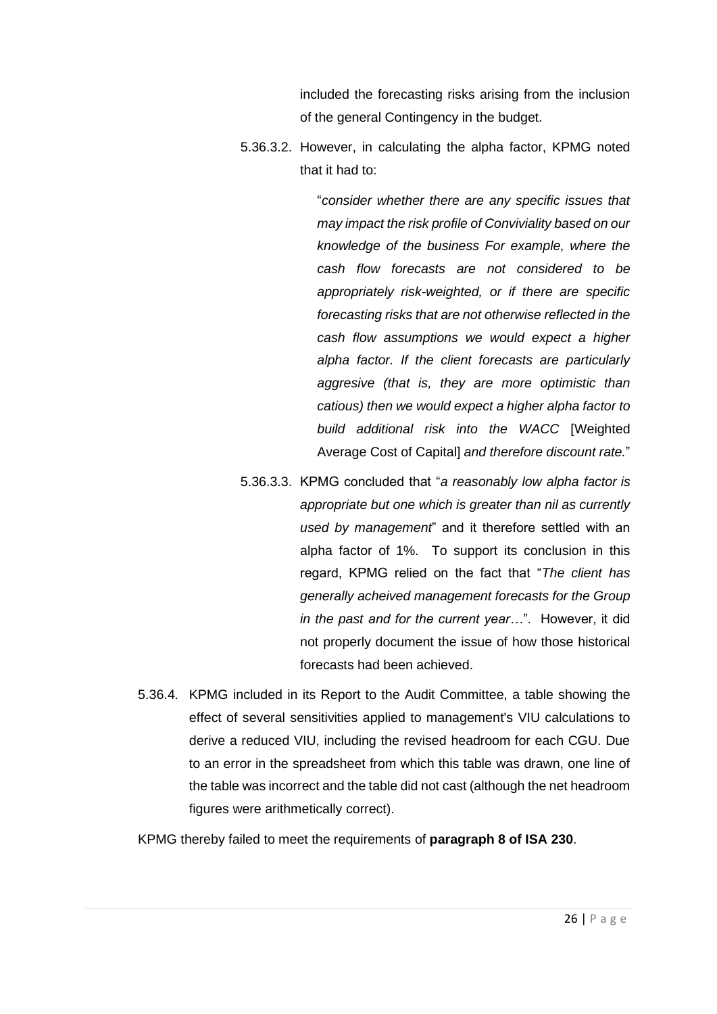included the forecasting risks arising from the inclusion of the general Contingency in the budget.

5.36.3.2. However, in calculating the alpha factor, KPMG noted that it had to:

> "*consider whether there are any specific issues that may impact the risk profile of Conviviality based on our knowledge of the business For example, where the cash flow forecasts are not considered to be appropriately risk-weighted, or if there are specific forecasting risks that are not otherwise reflected in the cash flow assumptions we would expect a higher alpha factor. If the client forecasts are particularly aggresive (that is, they are more optimistic than catious) then we would expect a higher alpha factor to build additional risk into the WACC* [Weighted Average Cost of Capital] *and therefore discount rate.*"

- 5.36.3.3. KPMG concluded that "*a reasonably low alpha factor is appropriate but one which is greater than nil as currently used by management*" and it therefore settled with an alpha factor of 1%. To support its conclusion in this regard, KPMG relied on the fact that "*The client has generally acheived management forecasts for the Group in the past and for the current year…*". However, it did not properly document the issue of how those historical forecasts had been achieved.
- 5.36.4. KPMG included in its Report to the Audit Committee, a table showing the effect of several sensitivities applied to management's VIU calculations to derive a reduced VIU, including the revised headroom for each CGU. Due to an error in the spreadsheet from which this table was drawn, one line of the table was incorrect and the table did not cast (although the net headroom figures were arithmetically correct).

KPMG thereby failed to meet the requirements of **paragraph 8 of ISA 230**.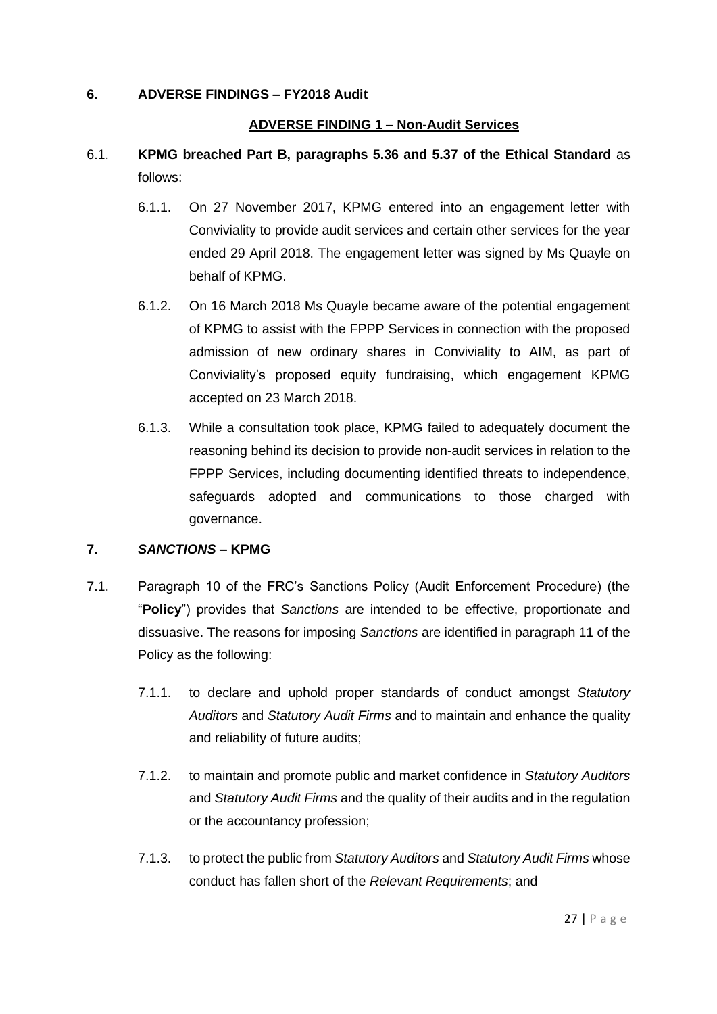#### **6. ADVERSE FINDINGS – FY2018 Audit**

#### **ADVERSE FINDING 1 – Non-Audit Services**

- 6.1. **KPMG breached Part B, paragraphs 5.36 and 5.37 of the Ethical Standard** as follows:
	- 6.1.1. On 27 November 2017, KPMG entered into an engagement letter with Conviviality to provide audit services and certain other services for the year ended 29 April 2018. The engagement letter was signed by Ms Quayle on behalf of KPMG.
	- 6.1.2. On 16 March 2018 Ms Quayle became aware of the potential engagement of KPMG to assist with the FPPP Services in connection with the proposed admission of new ordinary shares in Conviviality to AIM, as part of Conviviality's proposed equity fundraising, which engagement KPMG accepted on 23 March 2018.
	- 6.1.3. While a consultation took place, KPMG failed to adequately document the reasoning behind its decision to provide non-audit services in relation to the FPPP Services, including documenting identified threats to independence, safeguards adopted and communications to those charged with governance.

#### **7.** *SANCTIONS* **– KPMG**

- 7.1. Paragraph 10 of the FRC's Sanctions Policy (Audit Enforcement Procedure) (the "**Policy**") provides that *Sanctions* are intended to be effective, proportionate and dissuasive. The reasons for imposing *Sanctions* are identified in paragraph 11 of the Policy as the following:
	- 7.1.1. to declare and uphold proper standards of conduct amongst *Statutory Auditors* and *Statutory Audit Firms* and to maintain and enhance the quality and reliability of future audits;
	- 7.1.2. to maintain and promote public and market confidence in *Statutory Auditors* and *Statutory Audit Firms* and the quality of their audits and in the regulation or the accountancy profession;
	- 7.1.3. to protect the public from *Statutory Auditors* and *Statutory Audit Firms* whose conduct has fallen short of the *Relevant Requirements*; and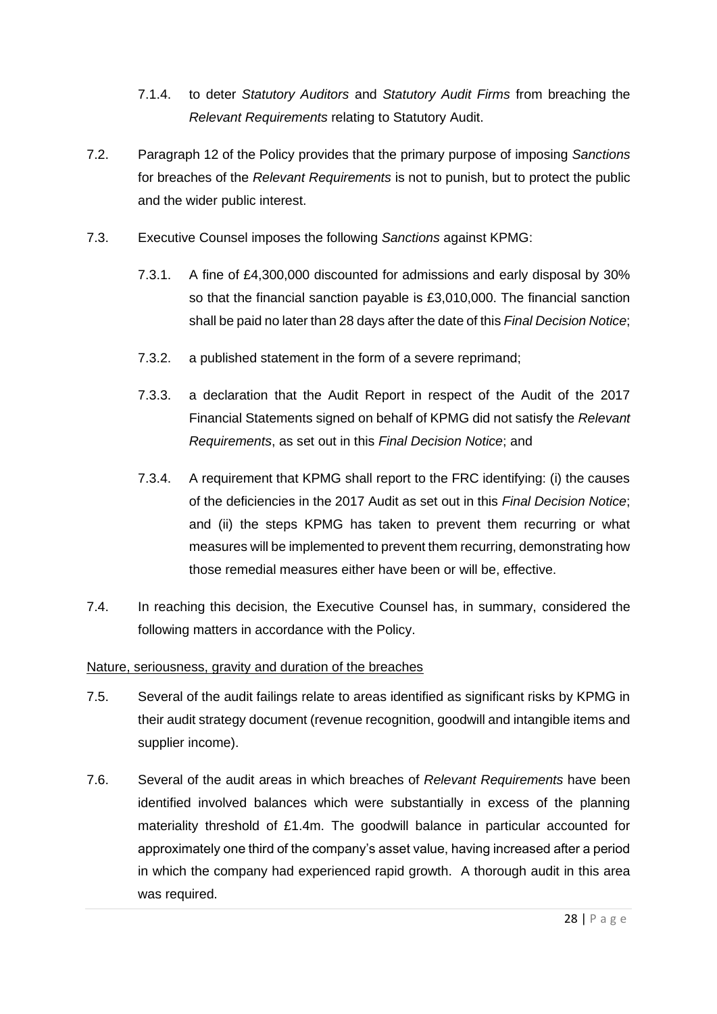- 7.1.4. to deter *Statutory Auditors* and *Statutory Audit Firms* from breaching the *Relevant Requirements* relating to Statutory Audit.
- 7.2. Paragraph 12 of the Policy provides that the primary purpose of imposing *Sanctions* for breaches of the *Relevant Requirements* is not to punish, but to protect the public and the wider public interest.
- 7.3. Executive Counsel imposes the following *Sanctions* against KPMG:
	- 7.3.1. A fine of £4,300,000 discounted for admissions and early disposal by 30% so that the financial sanction payable is £3,010,000. The financial sanction shall be paid no later than 28 days after the date of this *Final Decision Notice*;
	- 7.3.2. a published statement in the form of a severe reprimand;
	- 7.3.3. a declaration that the Audit Report in respect of the Audit of the 2017 Financial Statements signed on behalf of KPMG did not satisfy the *Relevant Requirements*, as set out in this *Final Decision Notice*; and
	- 7.3.4. A requirement that KPMG shall report to the FRC identifying: (i) the causes of the deficiencies in the 2017 Audit as set out in this *Final Decision Notice*; and (ii) the steps KPMG has taken to prevent them recurring or what measures will be implemented to prevent them recurring, demonstrating how those remedial measures either have been or will be, effective.
- 7.4. In reaching this decision, the Executive Counsel has, in summary, considered the following matters in accordance with the Policy.

#### Nature, seriousness, gravity and duration of the breaches

- <span id="page-27-0"></span>7.5. Several of the audit failings relate to areas identified as significant risks by KPMG in their audit strategy document (revenue recognition, goodwill and intangible items and supplier income).
- 7.6. Several of the audit areas in which breaches of *Relevant Requirements* have been identified involved balances which were substantially in excess of the planning materiality threshold of £1.4m. The goodwill balance in particular accounted for approximately one third of the company's asset value, having increased after a period in which the company had experienced rapid growth. A thorough audit in this area was required.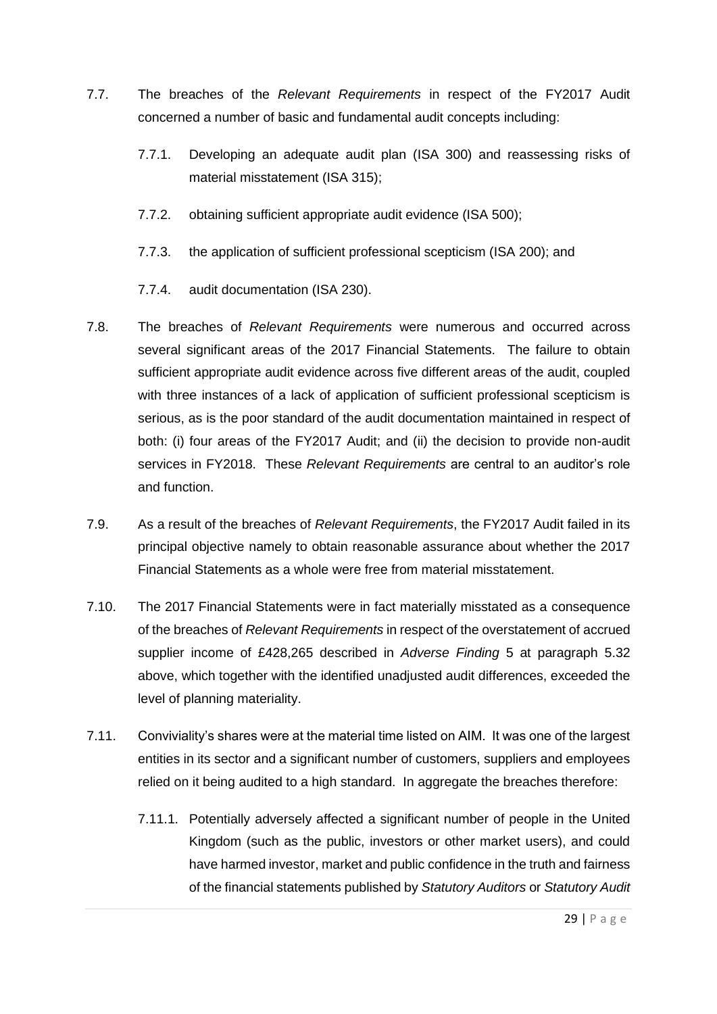- 7.7. The breaches of the *Relevant Requirements* in respect of the FY2017 Audit concerned a number of basic and fundamental audit concepts including:
	- 7.7.1. Developing an adequate audit plan (ISA 300) and reassessing risks of material misstatement (ISA 315);
	- 7.7.2. obtaining sufficient appropriate audit evidence (ISA 500);
	- 7.7.3. the application of sufficient professional scepticism (ISA 200); and
	- 7.7.4. audit documentation (ISA 230).
- 7.8. The breaches of *Relevant Requirements* were numerous and occurred across several significant areas of the 2017 Financial Statements. The failure to obtain sufficient appropriate audit evidence across five different areas of the audit, coupled with three instances of a lack of application of sufficient professional scepticism is serious, as is the poor standard of the audit documentation maintained in respect of both: (i) four areas of the FY2017 Audit; and (ii) the decision to provide non-audit services in FY2018. These *Relevant Requirements* are central to an auditor's role and function.
- 7.9. As a result of the breaches of *Relevant Requirements*, the FY2017 Audit failed in its principal objective namely to obtain reasonable assurance about whether the 2017 Financial Statements as a whole were free from material misstatement.
- 7.10. The 2017 Financial Statements were in fact materially misstated as a consequence of the breaches of *Relevant Requirements* in respect of the overstatement of accrued supplier income of £428,265 described in *Adverse Finding* 5 at paragraph [5.32](#page-20-0) above, which together with the identified unadjusted audit differences, exceeded the level of planning materiality.
- <span id="page-28-0"></span>7.11. Conviviality's shares were at the material time listed on AIM. It was one of the largest entities in its sector and a significant number of customers, suppliers and employees relied on it being audited to a high standard. In aggregate the breaches therefore:
	- 7.11.1. Potentially adversely affected a significant number of people in the United Kingdom (such as the public, investors or other market users), and could have harmed investor, market and public confidence in the truth and fairness of the financial statements published by *Statutory Auditors* or *Statutory Audit*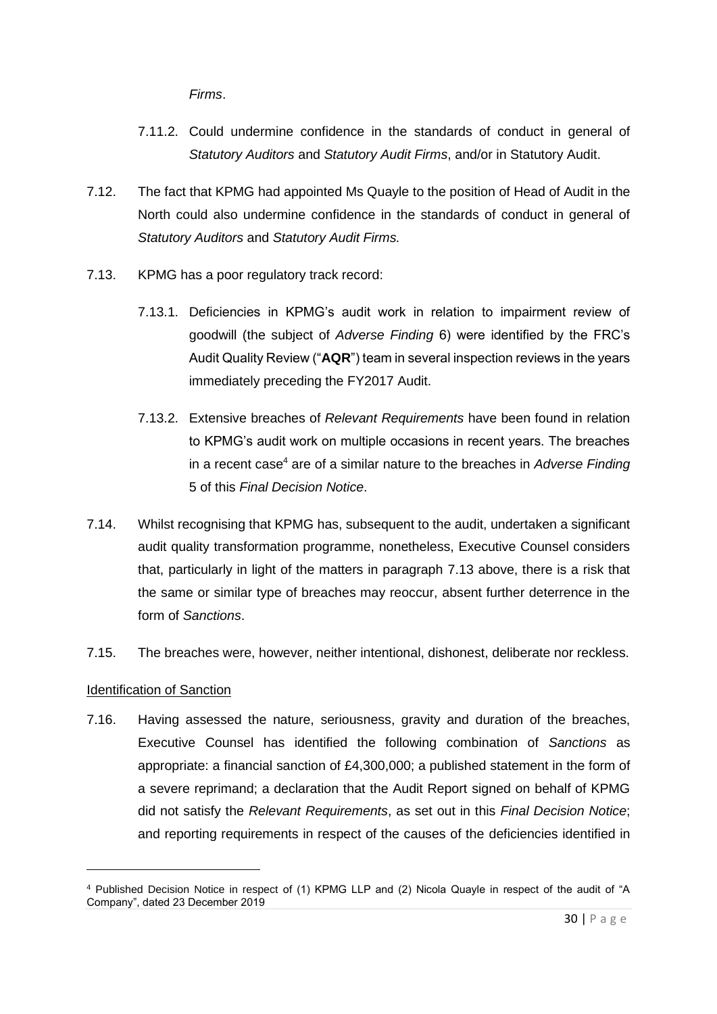*Firms*.

- 7.11.2. Could undermine confidence in the standards of conduct in general of *Statutory Auditors* and *Statutory Audit Firms*, and/or in Statutory Audit.
- 7.12. The fact that KPMG had appointed Ms Quayle to the position of Head of Audit in the North could also undermine confidence in the standards of conduct in general of *Statutory Auditors* and *Statutory Audit Firms.*
- <span id="page-29-0"></span>7.13. KPMG has a poor regulatory track record:
	- 7.13.1. Deficiencies in KPMG's audit work in relation to impairment review of goodwill (the subject of *Adverse Finding* 6) were identified by the FRC's Audit Quality Review ("**AQR**") team in several inspection reviews in the years immediately preceding the FY2017 Audit.
	- 7.13.2. Extensive breaches of *Relevant Requirements* have been found in relation to KPMG's audit work on multiple occasions in recent years. The breaches in a recent case<sup>4</sup> are of a similar nature to the breaches in *Adverse Finding* 5 of this *Final Decision Notice*.
- 7.14. Whilst recognising that KPMG has, subsequent to the audit, undertaken a significant audit quality transformation programme, nonetheless, Executive Counsel considers that, particularly in light of the matters in paragraph [7.13](#page-29-0) above, there is a risk that the same or similar type of breaches may reoccur, absent further deterrence in the form of *Sanctions*.
- <span id="page-29-1"></span>7.15. The breaches were, however, neither intentional, dishonest, deliberate nor reckless.

#### Identification of Sanction

7.16. Having assessed the nature, seriousness, gravity and duration of the breaches, Executive Counsel has identified the following combination of *Sanctions* as appropriate: a financial sanction of £4,300,000; a published statement in the form of a severe reprimand; a declaration that the Audit Report signed on behalf of KPMG did not satisfy the *Relevant Requirements*, as set out in this *Final Decision Notice*; and reporting requirements in respect of the causes of the deficiencies identified in

<sup>4</sup> Published Decision Notice in respect of (1) KPMG LLP and (2) Nicola Quayle in respect of the audit of "A Company", dated 23 December 2019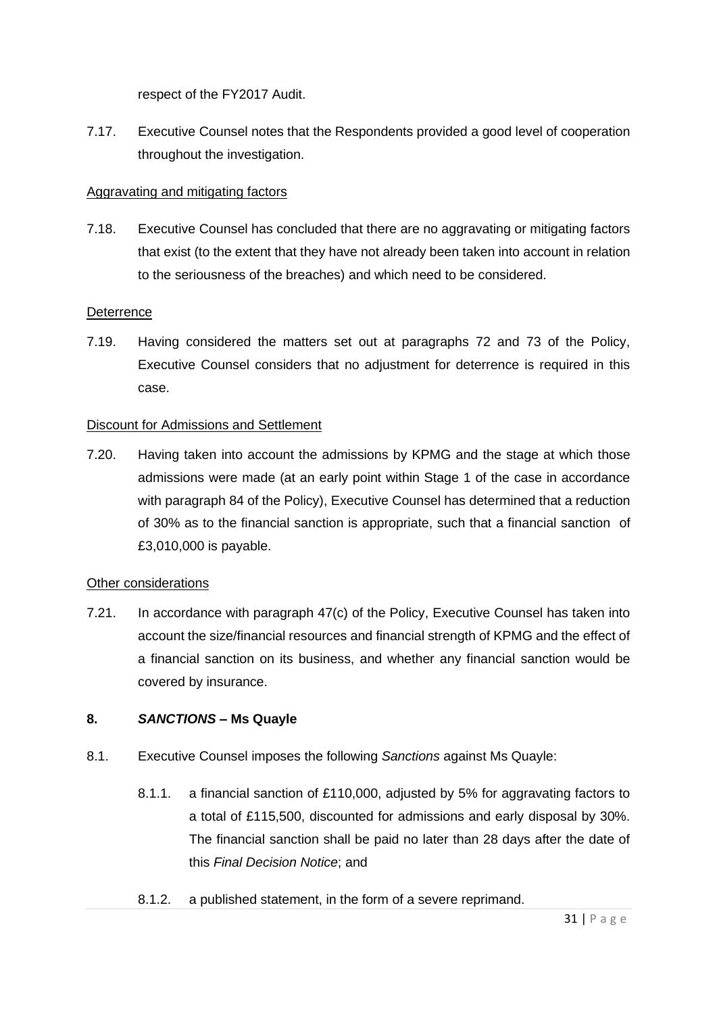respect of the FY2017 Audit.

7.17. Executive Counsel notes that the Respondents provided a good level of cooperation throughout the investigation.

## Aggravating and mitigating factors

7.18. Executive Counsel has concluded that there are no aggravating or mitigating factors that exist (to the extent that they have not already been taken into account in relation to the seriousness of the breaches) and which need to be considered.

#### **Deterrence**

7.19. Having considered the matters set out at paragraphs 72 and 73 of the Policy, Executive Counsel considers that no adjustment for deterrence is required in this case.

#### Discount for Admissions and Settlement

<span id="page-30-0"></span>7.20. Having taken into account the admissions by KPMG and the stage at which those admissions were made (at an early point within Stage 1 of the case in accordance with paragraph 84 of the Policy), Executive Counsel has determined that a reduction of 30% as to the financial sanction is appropriate, such that a financial sanction of £3,010,000 is payable.

#### Other considerations

7.21. In accordance with paragraph 47(c) of the Policy, Executive Counsel has taken into account the size/financial resources and financial strength of KPMG and the effect of a financial sanction on its business, and whether any financial sanction would be covered by insurance.

## **8.** *SANCTIONS* **– Ms Quayle**

- 8.1. Executive Counsel imposes the following *Sanctions* against Ms Quayle:
	- 8.1.1. a financial sanction of £110,000, adjusted by 5% for aggravating factors to a total of £115,500, discounted for admissions and early disposal by 30%. The financial sanction shall be paid no later than 28 days after the date of this *Final Decision Notice*; and
	- 8.1.2. a published statement, in the form of a severe reprimand.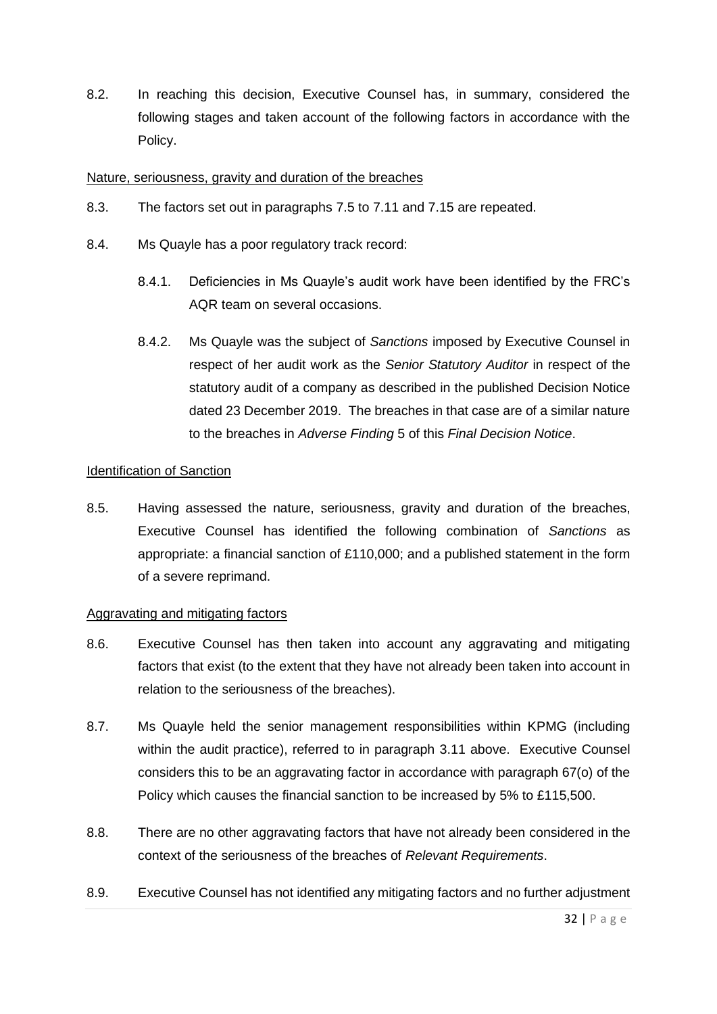8.2. In reaching this decision, Executive Counsel has, in summary, considered the following stages and taken account of the following factors in accordance with the Policy.

#### Nature, seriousness, gravity and duration of the breaches

- 8.3. The factors set out in paragraphs [7.5](#page-27-0) to [7.11](#page-28-0) and [7.15](#page-29-1) are repeated.
- 8.4. Ms Quayle has a poor regulatory track record:
	- 8.4.1. Deficiencies in Ms Quayle's audit work have been identified by the FRC's AQR team on several occasions.
	- 8.4.2. Ms Quayle was the subject of *Sanctions* imposed by Executive Counsel in respect of her audit work as the *Senior Statutory Auditor* in respect of the statutory audit of a company as described in the published Decision Notice dated 23 December 2019. The breaches in that case are of a similar nature to the breaches in *Adverse Finding* 5 of this *Final Decision Notice*.

#### Identification of Sanction

8.5. Having assessed the nature, seriousness, gravity and duration of the breaches, Executive Counsel has identified the following combination of *Sanctions* as appropriate: a financial sanction of £110,000; and a published statement in the form of a severe reprimand.

#### Aggravating and mitigating factors

- 8.6. Executive Counsel has then taken into account any aggravating and mitigating factors that exist (to the extent that they have not already been taken into account in relation to the seriousness of the breaches).
- 8.7. Ms Quayle held the senior management responsibilities within KPMG (including within the audit practice), referred to in paragraph [3.11](#page-7-0) above. Executive Counsel considers this to be an aggravating factor in accordance with paragraph 67(o) of the Policy which causes the financial sanction to be increased by 5% to £115,500.
- 8.8. There are no other aggravating factors that have not already been considered in the context of the seriousness of the breaches of *Relevant Requirements*.
- 8.9. Executive Counsel has not identified any mitigating factors and no further adjustment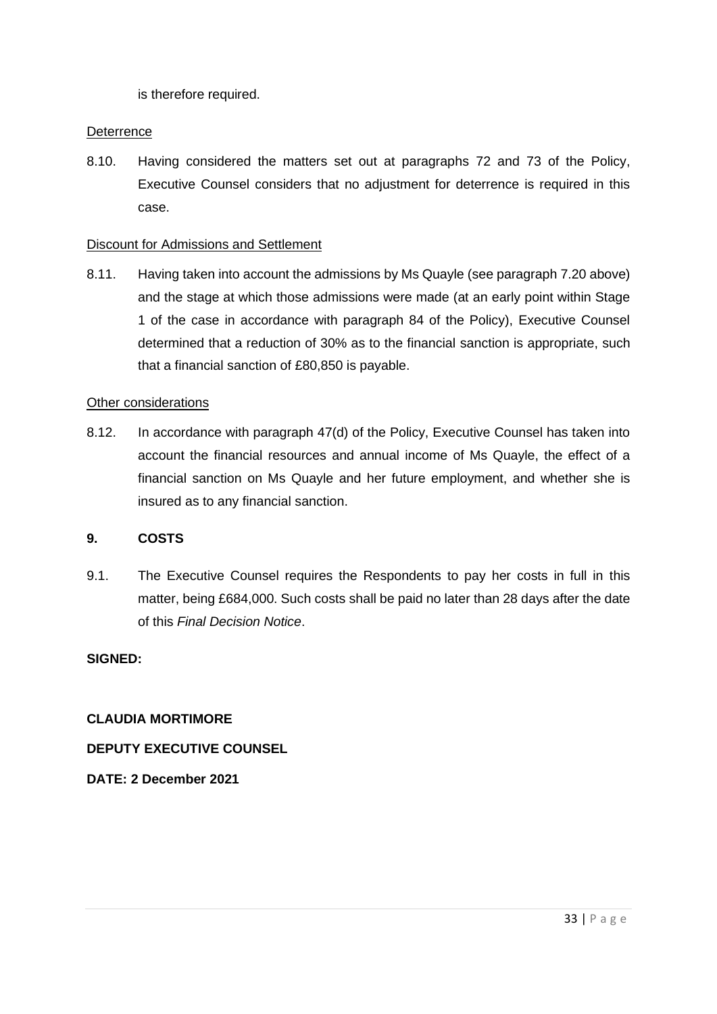is therefore required.

## **Deterrence**

8.10. Having considered the matters set out at paragraphs 72 and 73 of the Policy, Executive Counsel considers that no adjustment for deterrence is required in this case.

#### Discount for Admissions and Settlement

8.11. Having taken into account the admissions by Ms Quayle (see paragraph [7.20](#page-30-0) above) and the stage at which those admissions were made (at an early point within Stage 1 of the case in accordance with paragraph 84 of the Policy), Executive Counsel determined that a reduction of 30% as to the financial sanction is appropriate, such that a financial sanction of £80,850 is payable.

#### Other considerations

8.12. In accordance with paragraph 47(d) of the Policy, Executive Counsel has taken into account the financial resources and annual income of Ms Quayle, the effect of a financial sanction on Ms Quayle and her future employment, and whether she is insured as to any financial sanction.

## **9. COSTS**

9.1. The Executive Counsel requires the Respondents to pay her costs in full in this matter, being £684,000. Such costs shall be paid no later than 28 days after the date of this *Final Decision Notice*.

## **SIGNED:**

**CLAUDIA MORTIMORE**

**DEPUTY EXECUTIVE COUNSEL**

**DATE: 2 December 2021**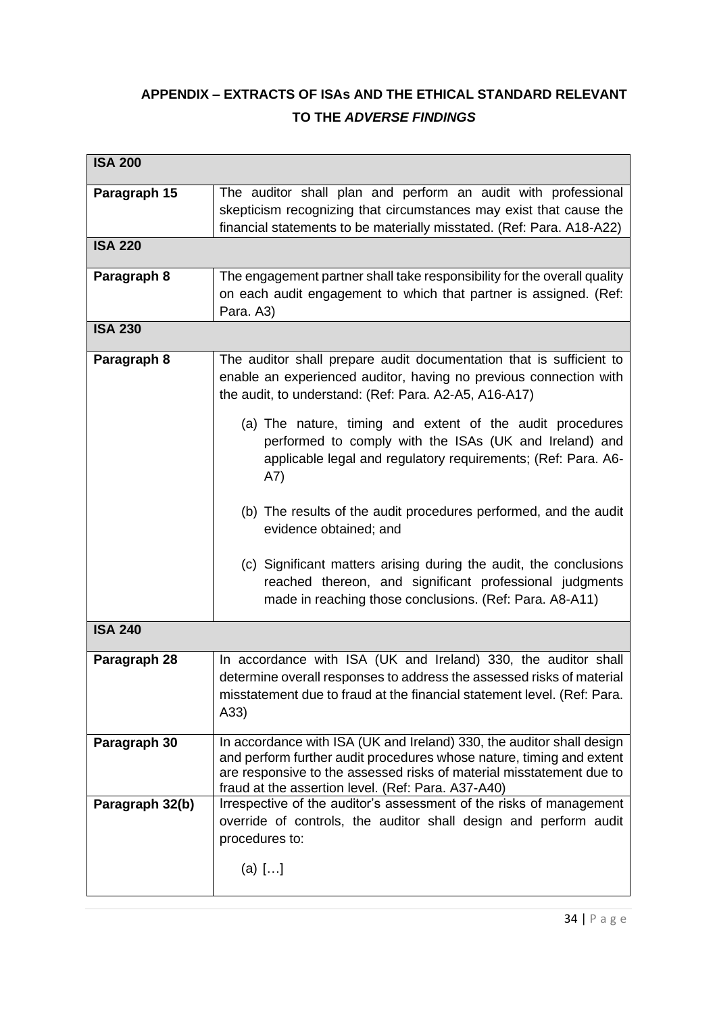# **APPENDIX – EXTRACTS OF ISAs AND THE ETHICAL STANDARD RELEVANT TO THE** *ADVERSE FINDINGS*

| <b>ISA 200</b>  |                                                                                                                                                                                                                                                                                                                          |  |  |  |
|-----------------|--------------------------------------------------------------------------------------------------------------------------------------------------------------------------------------------------------------------------------------------------------------------------------------------------------------------------|--|--|--|
| Paragraph 15    | The auditor shall plan and perform an audit with professional<br>skepticism recognizing that circumstances may exist that cause the<br>financial statements to be materially misstated. (Ref: Para. A18-A22)                                                                                                             |  |  |  |
| <b>ISA 220</b>  |                                                                                                                                                                                                                                                                                                                          |  |  |  |
| Paragraph 8     | The engagement partner shall take responsibility for the overall quality<br>on each audit engagement to which that partner is assigned. (Ref:<br>Para. A3)                                                                                                                                                               |  |  |  |
| <b>ISA 230</b>  |                                                                                                                                                                                                                                                                                                                          |  |  |  |
| Paragraph 8     | The auditor shall prepare audit documentation that is sufficient to<br>enable an experienced auditor, having no previous connection with<br>the audit, to understand: (Ref: Para. A2-A5, A16-A17)<br>(a) The nature, timing and extent of the audit procedures<br>performed to comply with the ISAs (UK and Ireland) and |  |  |  |
|                 | applicable legal and regulatory requirements; (Ref: Para. A6-<br>A7)                                                                                                                                                                                                                                                     |  |  |  |
|                 | (b) The results of the audit procedures performed, and the audit<br>evidence obtained; and                                                                                                                                                                                                                               |  |  |  |
|                 | (c) Significant matters arising during the audit, the conclusions<br>reached thereon, and significant professional judgments<br>made in reaching those conclusions. (Ref: Para. A8-A11)                                                                                                                                  |  |  |  |
| <b>ISA 240</b>  |                                                                                                                                                                                                                                                                                                                          |  |  |  |
| Paragraph 28    | In accordance with ISA (UK and Ireland) 330, the auditor shall<br>determine overall responses to address the assessed risks of material<br>misstatement due to fraud at the financial statement level. (Ref: Para.<br>(A33)                                                                                              |  |  |  |
| Paragraph 30    | In accordance with ISA (UK and Ireland) 330, the auditor shall design<br>and perform further audit procedures whose nature, timing and extent<br>are responsive to the assessed risks of material misstatement due to<br>fraud at the assertion level. (Ref: Para. A37-A40)                                              |  |  |  |
| Paragraph 32(b) | Irrespective of the auditor's assessment of the risks of management<br>override of controls, the auditor shall design and perform audit<br>procedures to:                                                                                                                                                                |  |  |  |
|                 | (a) $[]$                                                                                                                                                                                                                                                                                                                 |  |  |  |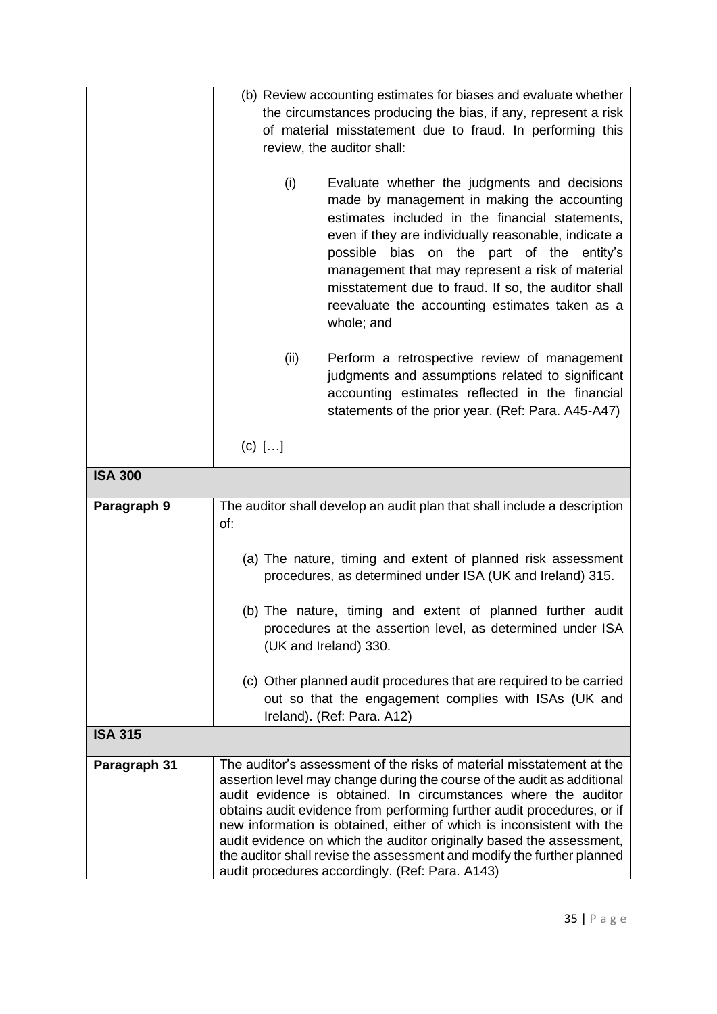|                |                                                                                                                                          | (b) Review accounting estimates for biases and evaluate whether          |  |  |
|----------------|------------------------------------------------------------------------------------------------------------------------------------------|--------------------------------------------------------------------------|--|--|
|                | the circumstances producing the bias, if any, represent a risk                                                                           |                                                                          |  |  |
|                | of material misstatement due to fraud. In performing this                                                                                |                                                                          |  |  |
|                | review, the auditor shall:                                                                                                               |                                                                          |  |  |
|                |                                                                                                                                          |                                                                          |  |  |
|                | (i)                                                                                                                                      | Evaluate whether the judgments and decisions                             |  |  |
|                |                                                                                                                                          | made by management in making the accounting                              |  |  |
|                |                                                                                                                                          | estimates included in the financial statements,                          |  |  |
|                |                                                                                                                                          | even if they are individually reasonable, indicate a                     |  |  |
|                |                                                                                                                                          | bias on the part of the entity's<br>possible                             |  |  |
|                |                                                                                                                                          | management that may represent a risk of material                         |  |  |
|                |                                                                                                                                          | misstatement due to fraud. If so, the auditor shall                      |  |  |
|                |                                                                                                                                          | reevaluate the accounting estimates taken as a                           |  |  |
|                |                                                                                                                                          | whole; and                                                               |  |  |
|                | (ii)                                                                                                                                     | Perform a retrospective review of management                             |  |  |
|                |                                                                                                                                          | judgments and assumptions related to significant                         |  |  |
|                |                                                                                                                                          | accounting estimates reflected in the financial                          |  |  |
|                |                                                                                                                                          | statements of the prior year. (Ref: Para. A45-A47)                       |  |  |
|                |                                                                                                                                          |                                                                          |  |  |
|                | $(c)$ $[]$                                                                                                                               |                                                                          |  |  |
| <b>ISA 300</b> |                                                                                                                                          |                                                                          |  |  |
| Paragraph 9    |                                                                                                                                          | The auditor shall develop an audit plan that shall include a description |  |  |
|                | of:                                                                                                                                      |                                                                          |  |  |
|                |                                                                                                                                          |                                                                          |  |  |
|                |                                                                                                                                          | (a) The nature, timing and extent of planned risk assessment             |  |  |
|                |                                                                                                                                          | procedures, as determined under ISA (UK and Ireland) 315.                |  |  |
|                |                                                                                                                                          |                                                                          |  |  |
|                | (b) The nature, timing and extent of planned further audit<br>procedures at the assertion level, as determined under ISA                 |                                                                          |  |  |
|                | (UK and Ireland) 330.                                                                                                                    |                                                                          |  |  |
|                |                                                                                                                                          |                                                                          |  |  |
|                |                                                                                                                                          | (c) Other planned audit procedures that are required to be carried       |  |  |
|                | out so that the engagement complies with ISAs (UK and                                                                                    |                                                                          |  |  |
|                |                                                                                                                                          | Ireland). (Ref: Para. A12)                                               |  |  |
| <b>ISA 315</b> |                                                                                                                                          |                                                                          |  |  |
| Paragraph 31   |                                                                                                                                          | The auditor's assessment of the risks of material misstatement at the    |  |  |
|                | assertion level may change during the course of the audit as additional                                                                  |                                                                          |  |  |
|                | audit evidence is obtained. In circumstances where the auditor<br>obtains audit evidence from performing further audit procedures, or if |                                                                          |  |  |
|                | new information is obtained, either of which is inconsistent with the                                                                    |                                                                          |  |  |
|                | audit evidence on which the auditor originally based the assessment,                                                                     |                                                                          |  |  |
|                | the auditor shall revise the assessment and modify the further planned                                                                   |                                                                          |  |  |
|                |                                                                                                                                          | audit procedures accordingly. (Ref: Para. A143)                          |  |  |